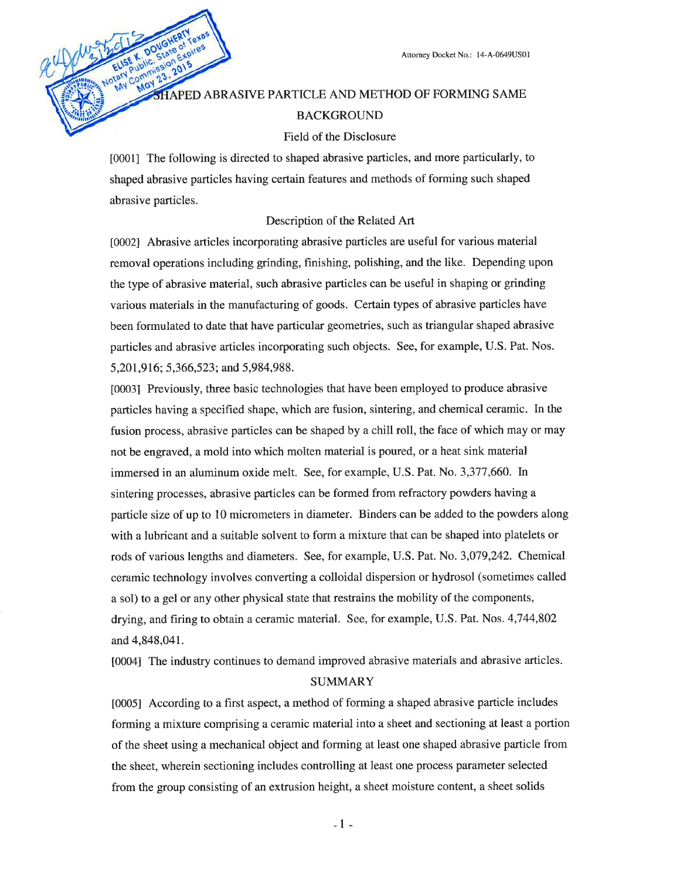# HAPED ABRASIVE PARTICLE AND METHOD OF FORMING SAME **BACKGROUND**

### Field of the Disclosure

[0001] The following is directed to shaped abrasive particles, and more particularly, to shaped abrasive particles having certain features and methods of forming such shaped abrasive particles.

### Description of the Related Art

[0002] Abrasive articles incorporating abrasive particles are useful for various material removal operations including grinding, finishing, polishing, and the like. Depending upon the type of abrasive material, such abrasive particles can be useful in shaping or grinding various materials in the manufacturing of goods. Certain types of abrasive particles have been formulated to date that have particular geometries, such as triangular shaped abrasive particles and abrasive articles incorporating such objects. See, for example, U.S. Pat. Nos. 5,201,916; 5,366,523; and 5,984,988.

[0003] Previously, three basic technologies that have been employed to produce abrasive particles having a specified shape, which are fusion, sintering, and chemical ceramic. In the fusion process, abrasive particles can be shaped by a chill roll, the face of which may or may not be engraved, a mold into which molten material is poured, or a heat sink material immersed in an aluminum oxide melt. See, for example, U.S. Pat. No. 3,377,660. In sintering processes, abrasive particles can be formed from refractory powders having a particle size of up to 10 micrometers in diameter. Binders can be added to the powders along with a lubricant and a suitable solvent to form a mixture that can be shaped into platelets or rods of various lengths and diameters. See, for example, U.S. Pat. No. 3,079,242. Chemical ceramic technology involves converting a colloidal dispersion or hydrosol (sometimes called a sol) to a gel or any other physical state that restrains the mobility of the components, drying, and firing to obtain a ceramic material. See, for example, U.S. Pat. Nos. 4,744,802 and 4,848,041.

[0004] The industry continues to demand improved abrasive materials and abrasive articles.

### **SUMMARY**

[0005] According to a first aspect, a method of forming a shaped abrasive particle includes forming a mixture comprising a ceramic material into a sheet and sectioning at least a portion of the sheet using a mechanical object and forming at least one shaped abrasive particle from the sheet, wherein sectioning includes controlling at least one process parameter selected from the group consisting of an extrusion height, a sheet moisture content, a sheet solids

4 I a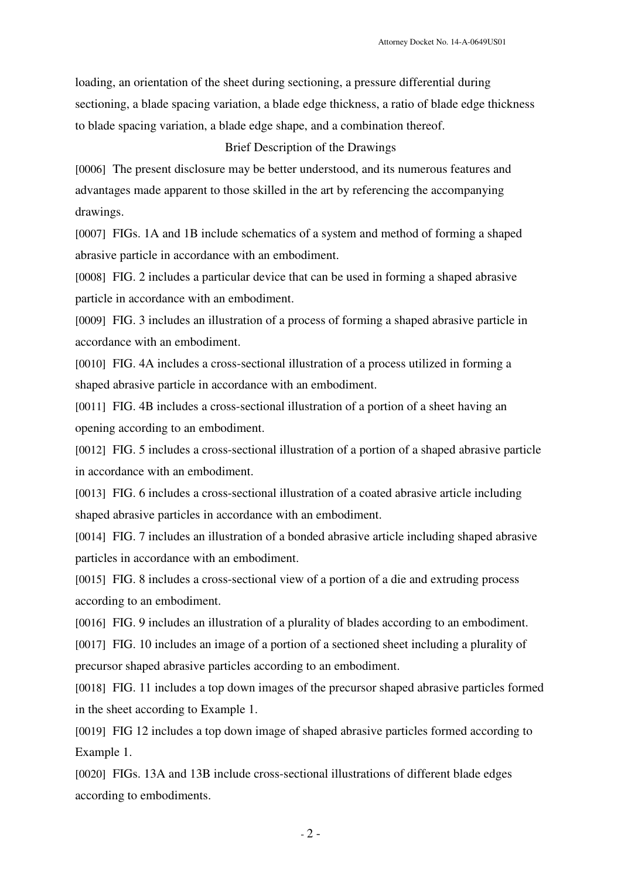loading, an orientation of the sheet during sectioning, a pressure differential during sectioning, a blade spacing variation, a blade edge thickness, a ratio of blade edge thickness to blade spacing variation, a blade edge shape, and a combination thereof.

## Brief Description of the Drawings

[0006] The present disclosure may be better understood, and its numerous features and advantages made apparent to those skilled in the art by referencing the accompanying drawings.

[0007] FIGs. 1A and 1B include schematics of a system and method of forming a shaped abrasive particle in accordance with an embodiment.

[0008] FIG. 2 includes a particular device that can be used in forming a shaped abrasive particle in accordance with an embodiment.

[0009] FIG. 3 includes an illustration of a process of forming a shaped abrasive particle in accordance with an embodiment.

[0010] FIG. 4A includes a cross-sectional illustration of a process utilized in forming a shaped abrasive particle in accordance with an embodiment.

[0011] FIG. 4B includes a cross-sectional illustration of a portion of a sheet having an opening according to an embodiment.

[0012] FIG. 5 includes a cross-sectional illustration of a portion of a shaped abrasive particle in accordance with an embodiment.

[0013] FIG. 6 includes a cross-sectional illustration of a coated abrasive article including shaped abrasive particles in accordance with an embodiment.

[0014] FIG. 7 includes an illustration of a bonded abrasive article including shaped abrasive particles in accordance with an embodiment.

[0015] FIG. 8 includes a cross-sectional view of a portion of a die and extruding process according to an embodiment.

[0016] FIG. 9 includes an illustration of a plurality of blades according to an embodiment.

[0017] FIG. 10 includes an image of a portion of a sectioned sheet including a plurality of precursor shaped abrasive particles according to an embodiment.

[0018] FIG. 11 includes a top down images of the precursor shaped abrasive particles formed in the sheet according to Example 1.

[0019] FIG 12 includes a top down image of shaped abrasive particles formed according to Example 1.

[0020] FIGs. 13A and 13B include cross-sectional illustrations of different blade edges according to embodiments.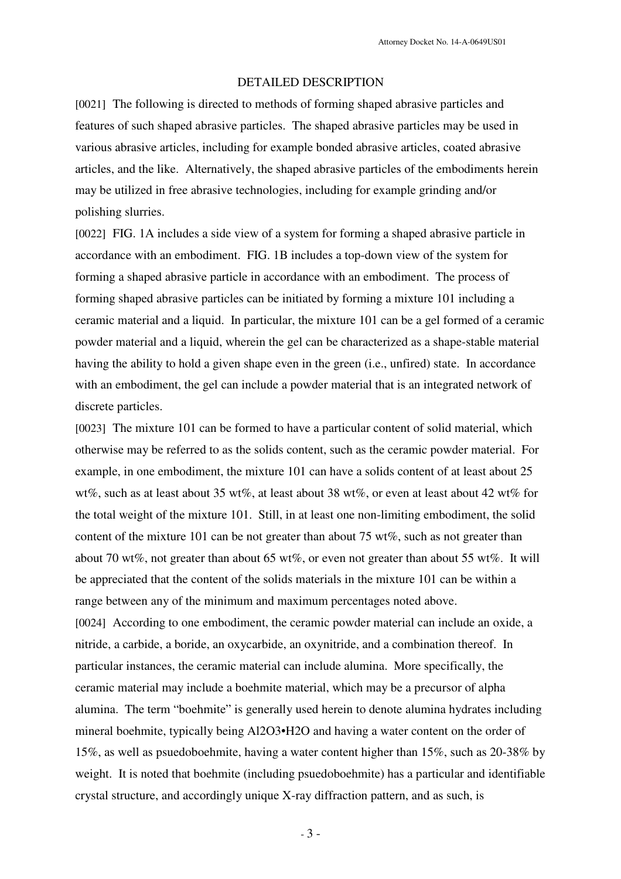## DETAILED DESCRIPTION

[0021] The following is directed to methods of forming shaped abrasive particles and features of such shaped abrasive particles. The shaped abrasive particles may be used in various abrasive articles, including for example bonded abrasive articles, coated abrasive articles, and the like. Alternatively, the shaped abrasive particles of the embodiments herein may be utilized in free abrasive technologies, including for example grinding and/or polishing slurries.

[0022] FIG. 1A includes a side view of a system for forming a shaped abrasive particle in accordance with an embodiment. FIG. 1B includes a top-down view of the system for forming a shaped abrasive particle in accordance with an embodiment. The process of forming shaped abrasive particles can be initiated by forming a mixture 101 including a ceramic material and a liquid. In particular, the mixture 101 can be a gel formed of a ceramic powder material and a liquid, wherein the gel can be characterized as a shape-stable material having the ability to hold a given shape even in the green (i.e., unfired) state. In accordance with an embodiment, the gel can include a powder material that is an integrated network of discrete particles.

[0023] The mixture 101 can be formed to have a particular content of solid material, which otherwise may be referred to as the solids content, such as the ceramic powder material. For example, in one embodiment, the mixture 101 can have a solids content of at least about 25 wt%, such as at least about 35 wt%, at least about 38 wt%, or even at least about 42 wt% for the total weight of the mixture 101. Still, in at least one non-limiting embodiment, the solid content of the mixture 101 can be not greater than about 75 wt%, such as not greater than about 70 wt%, not greater than about 65 wt%, or even not greater than about 55 wt%. It will be appreciated that the content of the solids materials in the mixture 101 can be within a range between any of the minimum and maximum percentages noted above. [0024] According to one embodiment, the ceramic powder material can include an oxide, a nitride, a carbide, a boride, an oxycarbide, an oxynitride, and a combination thereof. In particular instances, the ceramic material can include alumina. More specifically, the ceramic material may include a boehmite material, which may be a precursor of alpha alumina. The term "boehmite" is generally used herein to denote alumina hydrates including mineral boehmite, typically being Al2O3•H2O and having a water content on the order of 15%, as well as psuedoboehmite, having a water content higher than 15%, such as 20-38% by weight. It is noted that boehmite (including psuedoboehmite) has a particular and identifiable crystal structure, and accordingly unique X-ray diffraction pattern, and as such, is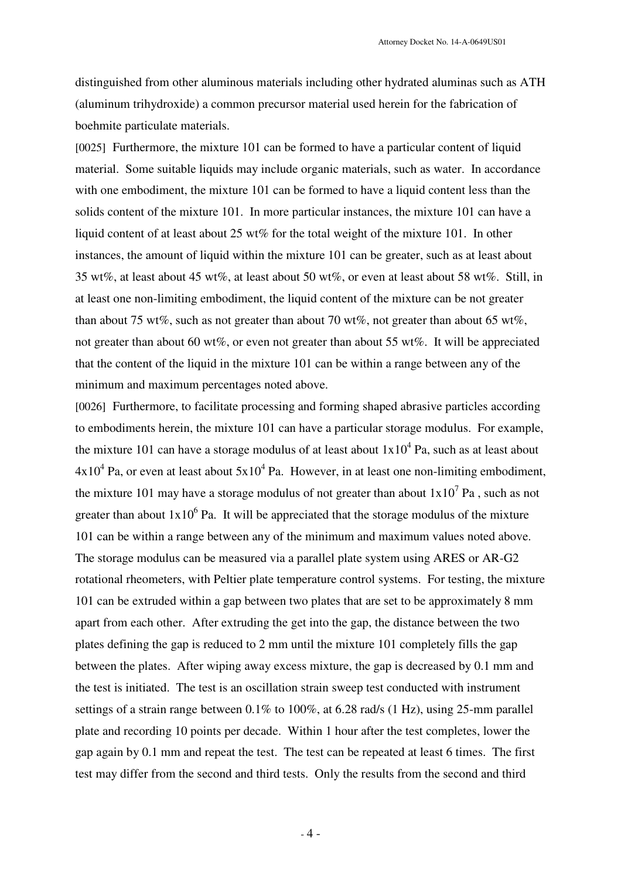distinguished from other aluminous materials including other hydrated aluminas such as ATH (aluminum trihydroxide) a common precursor material used herein for the fabrication of boehmite particulate materials.

[0025] Furthermore, the mixture 101 can be formed to have a particular content of liquid material. Some suitable liquids may include organic materials, such as water. In accordance with one embodiment, the mixture 101 can be formed to have a liquid content less than the solids content of the mixture 101. In more particular instances, the mixture 101 can have a liquid content of at least about 25 wt% for the total weight of the mixture 101. In other instances, the amount of liquid within the mixture 101 can be greater, such as at least about 35 wt%, at least about 45 wt%, at least about 50 wt%, or even at least about 58 wt%. Still, in at least one non-limiting embodiment, the liquid content of the mixture can be not greater than about 75 wt%, such as not greater than about 70 wt%, not greater than about 65 wt%, not greater than about 60 wt%, or even not greater than about 55 wt%. It will be appreciated that the content of the liquid in the mixture 101 can be within a range between any of the minimum and maximum percentages noted above.

[0026] Furthermore, to facilitate processing and forming shaped abrasive particles according to embodiments herein, the mixture 101 can have a particular storage modulus. For example, the mixture 101 can have a storage modulus of at least about  $1x10^4$  Pa, such as at least about  $4x10^4$  Pa, or even at least about  $5x10^4$  Pa. However, in at least one non-limiting embodiment, the mixture 101 may have a storage modulus of not greater than about  $1x10^7$  Pa, such as not greater than about  $1x10^6$  Pa. It will be appreciated that the storage modulus of the mixture 101 can be within a range between any of the minimum and maximum values noted above. The storage modulus can be measured via a parallel plate system using ARES or AR-G2 rotational rheometers, with Peltier plate temperature control systems. For testing, the mixture 101 can be extruded within a gap between two plates that are set to be approximately 8 mm apart from each other. After extruding the get into the gap, the distance between the two plates defining the gap is reduced to 2 mm until the mixture 101 completely fills the gap between the plates. After wiping away excess mixture, the gap is decreased by 0.1 mm and the test is initiated. The test is an oscillation strain sweep test conducted with instrument settings of a strain range between 0.1% to 100%, at 6.28 rad/s (1 Hz), using 25-mm parallel plate and recording 10 points per decade. Within 1 hour after the test completes, lower the gap again by 0.1 mm and repeat the test. The test can be repeated at least 6 times. The first test may differ from the second and third tests. Only the results from the second and third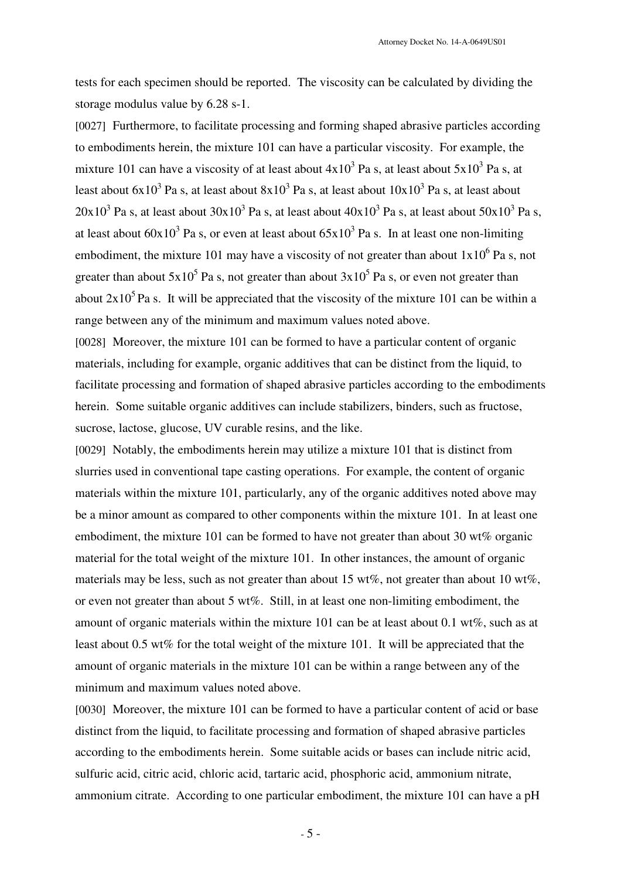tests for each specimen should be reported. The viscosity can be calculated by dividing the storage modulus value by 6.28 s-1.

[0027] Furthermore, to facilitate processing and forming shaped abrasive particles according to embodiments herein, the mixture 101 can have a particular viscosity. For example, the mixture 101 can have a viscosity of at least about  $4x10^3$  Pa s, at least about  $5x10^3$  Pa s, at least about  $6x10^3$  Pa s, at least about  $8x10^3$  Pa s, at least about  $10x10^3$  Pa s, at least about  $20x10^3$  Pa s, at least about  $30x10^3$  Pa s, at least about  $40x10^3$  Pa s, at least about  $50x10^3$  Pa s, at least about  $60x10^3$  Pa s, or even at least about  $65x10^3$  Pa s. In at least one non-limiting embodiment, the mixture 101 may have a viscosity of not greater than about  $1x10^6$  Pa s, not greater than about 5x10<sup>5</sup> Pa s, not greater than about 3x10<sup>5</sup> Pa s, or even not greater than about  $2x10^5$  Pa s. It will be appreciated that the viscosity of the mixture 101 can be within a range between any of the minimum and maximum values noted above.

[0028] Moreover, the mixture 101 can be formed to have a particular content of organic materials, including for example, organic additives that can be distinct from the liquid, to facilitate processing and formation of shaped abrasive particles according to the embodiments herein. Some suitable organic additives can include stabilizers, binders, such as fructose, sucrose, lactose, glucose, UV curable resins, and the like.

[0029] Notably, the embodiments herein may utilize a mixture 101 that is distinct from slurries used in conventional tape casting operations. For example, the content of organic materials within the mixture 101, particularly, any of the organic additives noted above may be a minor amount as compared to other components within the mixture 101. In at least one embodiment, the mixture 101 can be formed to have not greater than about 30 wt% organic material for the total weight of the mixture 101. In other instances, the amount of organic materials may be less, such as not greater than about 15 wt%, not greater than about 10 wt%, or even not greater than about 5 wt%. Still, in at least one non-limiting embodiment, the amount of organic materials within the mixture 101 can be at least about 0.1 wt%, such as at least about 0.5 wt% for the total weight of the mixture 101. It will be appreciated that the amount of organic materials in the mixture 101 can be within a range between any of the minimum and maximum values noted above.

[0030] Moreover, the mixture 101 can be formed to have a particular content of acid or base distinct from the liquid, to facilitate processing and formation of shaped abrasive particles according to the embodiments herein. Some suitable acids or bases can include nitric acid, sulfuric acid, citric acid, chloric acid, tartaric acid, phosphoric acid, ammonium nitrate, ammonium citrate. According to one particular embodiment, the mixture 101 can have a pH

- 5 -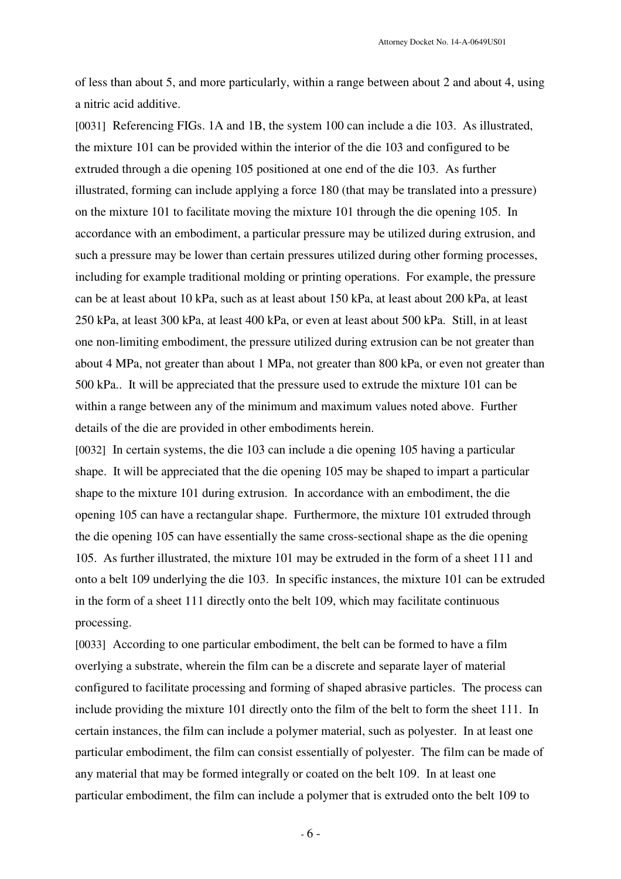of less than about 5, and more particularly, within a range between about 2 and about 4, using a nitric acid additive.

[0031] Referencing FIGs. 1A and 1B, the system 100 can include a die 103. As illustrated, the mixture 101 can be provided within the interior of the die 103 and configured to be extruded through a die opening 105 positioned at one end of the die 103. As further illustrated, forming can include applying a force 180 (that may be translated into a pressure) on the mixture 101 to facilitate moving the mixture 101 through the die opening 105. In accordance with an embodiment, a particular pressure may be utilized during extrusion, and such a pressure may be lower than certain pressures utilized during other forming processes, including for example traditional molding or printing operations. For example, the pressure can be at least about 10 kPa, such as at least about 150 kPa, at least about 200 kPa, at least 250 kPa, at least 300 kPa, at least 400 kPa, or even at least about 500 kPa. Still, in at least one non-limiting embodiment, the pressure utilized during extrusion can be not greater than about 4 MPa, not greater than about 1 MPa, not greater than 800 kPa, or even not greater than 500 kPa.. It will be appreciated that the pressure used to extrude the mixture 101 can be within a range between any of the minimum and maximum values noted above. Further details of the die are provided in other embodiments herein.

[0032] In certain systems, the die 103 can include a die opening 105 having a particular shape. It will be appreciated that the die opening 105 may be shaped to impart a particular shape to the mixture 101 during extrusion. In accordance with an embodiment, the die opening 105 can have a rectangular shape. Furthermore, the mixture 101 extruded through the die opening 105 can have essentially the same cross-sectional shape as the die opening 105. As further illustrated, the mixture 101 may be extruded in the form of a sheet 111 and onto a belt 109 underlying the die 103. In specific instances, the mixture 101 can be extruded in the form of a sheet 111 directly onto the belt 109, which may facilitate continuous processing.

[0033] According to one particular embodiment, the belt can be formed to have a film overlying a substrate, wherein the film can be a discrete and separate layer of material configured to facilitate processing and forming of shaped abrasive particles. The process can include providing the mixture 101 directly onto the film of the belt to form the sheet 111. In certain instances, the film can include a polymer material, such as polyester. In at least one particular embodiment, the film can consist essentially of polyester. The film can be made of any material that may be formed integrally or coated on the belt 109. In at least one particular embodiment, the film can include a polymer that is extruded onto the belt 109 to

- 6 -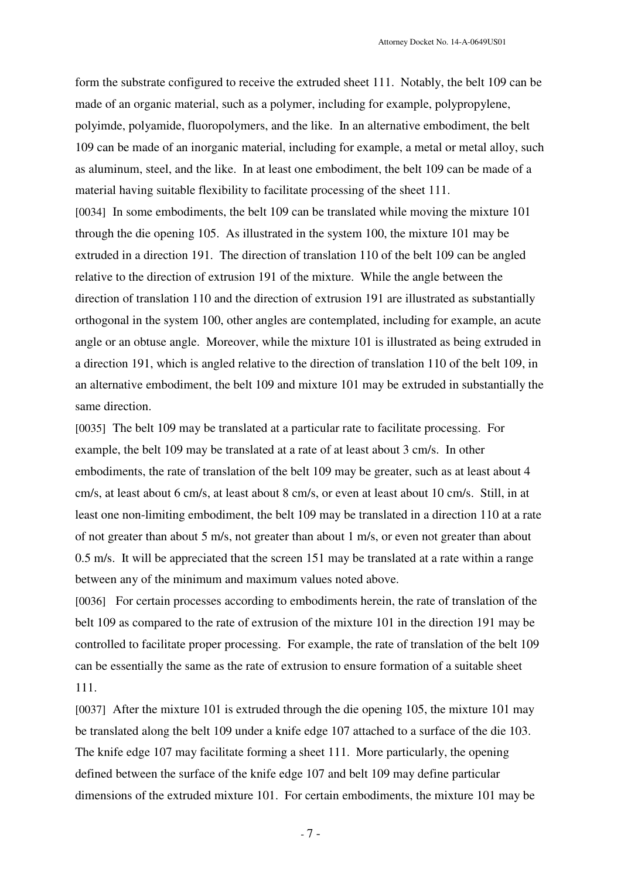form the substrate configured to receive the extruded sheet 111. Notably, the belt 109 can be made of an organic material, such as a polymer, including for example, polypropylene, polyimde, polyamide, fluoropolymers, and the like. In an alternative embodiment, the belt 109 can be made of an inorganic material, including for example, a metal or metal alloy, such as aluminum, steel, and the like. In at least one embodiment, the belt 109 can be made of a material having suitable flexibility to facilitate processing of the sheet 111. [0034] In some embodiments, the belt 109 can be translated while moving the mixture 101 through the die opening 105. As illustrated in the system 100, the mixture 101 may be extruded in a direction 191. The direction of translation 110 of the belt 109 can be angled relative to the direction of extrusion 191 of the mixture. While the angle between the direction of translation 110 and the direction of extrusion 191 are illustrated as substantially orthogonal in the system 100, other angles are contemplated, including for example, an acute angle or an obtuse angle. Moreover, while the mixture 101 is illustrated as being extruded in a direction 191, which is angled relative to the direction of translation 110 of the belt 109, in an alternative embodiment, the belt 109 and mixture 101 may be extruded in substantially the same direction.

[0035] The belt 109 may be translated at a particular rate to facilitate processing. For example, the belt 109 may be translated at a rate of at least about 3 cm/s. In other embodiments, the rate of translation of the belt 109 may be greater, such as at least about 4 cm/s, at least about 6 cm/s, at least about 8 cm/s, or even at least about 10 cm/s. Still, in at least one non-limiting embodiment, the belt 109 may be translated in a direction 110 at a rate of not greater than about 5 m/s, not greater than about 1 m/s, or even not greater than about 0.5 m/s. It will be appreciated that the screen 151 may be translated at a rate within a range between any of the minimum and maximum values noted above.

[0036] For certain processes according to embodiments herein, the rate of translation of the belt 109 as compared to the rate of extrusion of the mixture 101 in the direction 191 may be controlled to facilitate proper processing. For example, the rate of translation of the belt 109 can be essentially the same as the rate of extrusion to ensure formation of a suitable sheet 111.

[0037] After the mixture 101 is extruded through the die opening 105, the mixture 101 may be translated along the belt 109 under a knife edge 107 attached to a surface of the die 103. The knife edge 107 may facilitate forming a sheet 111. More particularly, the opening defined between the surface of the knife edge 107 and belt 109 may define particular dimensions of the extruded mixture 101. For certain embodiments, the mixture 101 may be

- 7 -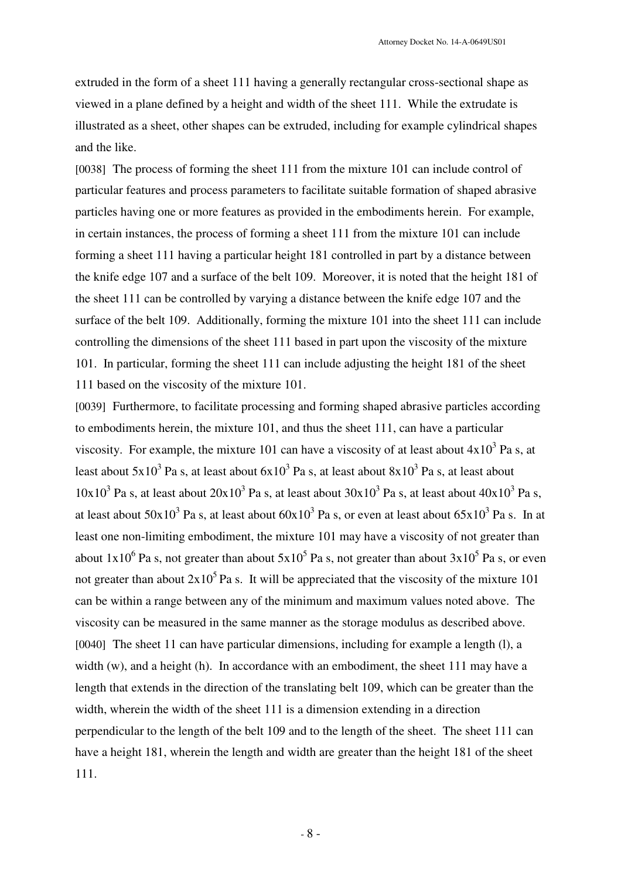extruded in the form of a sheet 111 having a generally rectangular cross-sectional shape as viewed in a plane defined by a height and width of the sheet 111. While the extrudate is illustrated as a sheet, other shapes can be extruded, including for example cylindrical shapes and the like.

[0038] The process of forming the sheet 111 from the mixture 101 can include control of particular features and process parameters to facilitate suitable formation of shaped abrasive particles having one or more features as provided in the embodiments herein. For example, in certain instances, the process of forming a sheet 111 from the mixture 101 can include forming a sheet 111 having a particular height 181 controlled in part by a distance between the knife edge 107 and a surface of the belt 109. Moreover, it is noted that the height 181 of the sheet 111 can be controlled by varying a distance between the knife edge 107 and the surface of the belt 109. Additionally, forming the mixture 101 into the sheet 111 can include controlling the dimensions of the sheet 111 based in part upon the viscosity of the mixture 101. In particular, forming the sheet 111 can include adjusting the height 181 of the sheet 111 based on the viscosity of the mixture 101.

[0039] Furthermore, to facilitate processing and forming shaped abrasive particles according to embodiments herein, the mixture 101, and thus the sheet 111, can have a particular viscosity. For example, the mixture 101 can have a viscosity of at least about  $4x10^3$  Pa s, at least about 5x10<sup>3</sup> Pa s, at least about  $6x10^3$  Pa s, at least about  $8x10^3$  Pa s, at least about  $10x10<sup>3</sup>$  Pa s, at least about  $20x10<sup>3</sup>$  Pa s, at least about  $30x10<sup>3</sup>$  Pa s, at least about  $40x10<sup>3</sup>$  Pa s, at least about 50x10<sup>3</sup> Pa s, at least about  $60x10^3$  Pa s, or even at least about  $65x10^3$  Pa s. In at least one non-limiting embodiment, the mixture 101 may have a viscosity of not greater than about  $1x10^6$  Pa s, not greater than about  $5x10^5$  Pa s, not greater than about  $3x10^5$  Pa s, or even not greater than about  $2x10^5$  Pa s. It will be appreciated that the viscosity of the mixture 101 can be within a range between any of the minimum and maximum values noted above. The viscosity can be measured in the same manner as the storage modulus as described above. [0040] The sheet 11 can have particular dimensions, including for example a length (l), a width (w), and a height (h). In accordance with an embodiment, the sheet 111 may have a length that extends in the direction of the translating belt 109, which can be greater than the width, wherein the width of the sheet 111 is a dimension extending in a direction perpendicular to the length of the belt 109 and to the length of the sheet. The sheet 111 can have a height 181, wherein the length and width are greater than the height 181 of the sheet 111.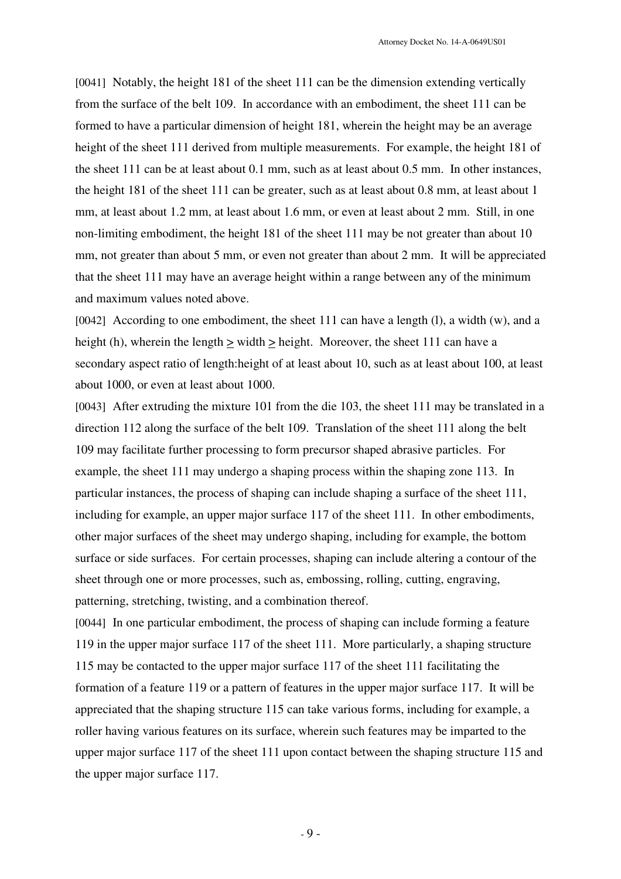[0041] Notably, the height 181 of the sheet 111 can be the dimension extending vertically from the surface of the belt 109. In accordance with an embodiment, the sheet 111 can be formed to have a particular dimension of height 181, wherein the height may be an average height of the sheet 111 derived from multiple measurements. For example, the height 181 of the sheet 111 can be at least about 0.1 mm, such as at least about 0.5 mm. In other instances, the height 181 of the sheet 111 can be greater, such as at least about 0.8 mm, at least about 1 mm, at least about 1.2 mm, at least about 1.6 mm, or even at least about 2 mm. Still, in one non-limiting embodiment, the height 181 of the sheet 111 may be not greater than about 10 mm, not greater than about 5 mm, or even not greater than about 2 mm. It will be appreciated that the sheet 111 may have an average height within a range between any of the minimum and maximum values noted above.

[0042] According to one embodiment, the sheet 111 can have a length (l), a width (w), and a height (h), wherein the length > width > height. Moreover, the sheet 111 can have a secondary aspect ratio of length:height of at least about 10, such as at least about 100, at least about 1000, or even at least about 1000.

[0043] After extruding the mixture 101 from the die 103, the sheet 111 may be translated in a direction 112 along the surface of the belt 109. Translation of the sheet 111 along the belt 109 may facilitate further processing to form precursor shaped abrasive particles. For example, the sheet 111 may undergo a shaping process within the shaping zone 113. In particular instances, the process of shaping can include shaping a surface of the sheet 111, including for example, an upper major surface 117 of the sheet 111. In other embodiments, other major surfaces of the sheet may undergo shaping, including for example, the bottom surface or side surfaces. For certain processes, shaping can include altering a contour of the sheet through one or more processes, such as, embossing, rolling, cutting, engraving, patterning, stretching, twisting, and a combination thereof.

[0044] In one particular embodiment, the process of shaping can include forming a feature 119 in the upper major surface 117 of the sheet 111. More particularly, a shaping structure 115 may be contacted to the upper major surface 117 of the sheet 111 facilitating the formation of a feature 119 or a pattern of features in the upper major surface 117. It will be appreciated that the shaping structure 115 can take various forms, including for example, a roller having various features on its surface, wherein such features may be imparted to the upper major surface 117 of the sheet 111 upon contact between the shaping structure 115 and the upper major surface 117.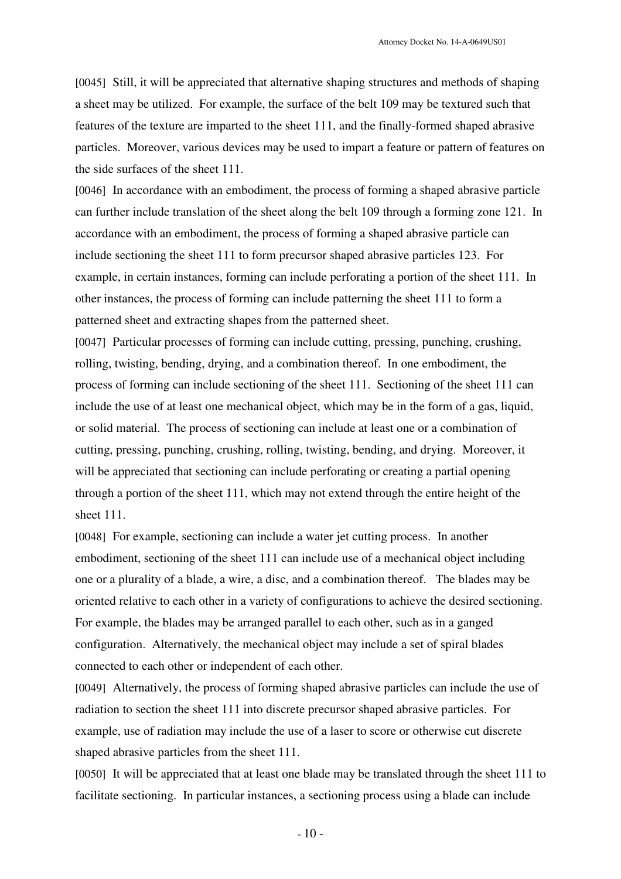[0045] Still, it will be appreciated that alternative shaping structures and methods of shaping a sheet may be utilized. For example, the surface of the belt 109 may be textured such that features of the texture are imparted to the sheet 111, and the finally-formed shaped abrasive particles. Moreover, various devices may be used to impart a feature or pattern of features on the side surfaces of the sheet 111.

[0046] In accordance with an embodiment, the process of forming a shaped abrasive particle can further include translation of the sheet along the belt 109 through a forming zone 121. In accordance with an embodiment, the process of forming a shaped abrasive particle can include sectioning the sheet 111 to form precursor shaped abrasive particles 123. For example, in certain instances, forming can include perforating a portion of the sheet 111. In other instances, the process of forming can include patterning the sheet 111 to form a patterned sheet and extracting shapes from the patterned sheet.

[0047] Particular processes of forming can include cutting, pressing, punching, crushing, rolling, twisting, bending, drying, and a combination thereof. In one embodiment, the process of forming can include sectioning of the sheet 111. Sectioning of the sheet 111 can include the use of at least one mechanical object, which may be in the form of a gas, liquid, or solid material. The process of sectioning can include at least one or a combination of cutting, pressing, punching, crushing, rolling, twisting, bending, and drying. Moreover, it will be appreciated that sectioning can include perforating or creating a partial opening through a portion of the sheet 111, which may not extend through the entire height of the sheet 111.

[0048] For example, sectioning can include a water jet cutting process. In another embodiment, sectioning of the sheet 111 can include use of a mechanical object including one or a plurality of a blade, a wire, a disc, and a combination thereof. The blades may be oriented relative to each other in a variety of configurations to achieve the desired sectioning. For example, the blades may be arranged parallel to each other, such as in a ganged configuration. Alternatively, the mechanical object may include a set of spiral blades connected to each other or independent of each other.

[0049] Alternatively, the process of forming shaped abrasive particles can include the use of radiation to section the sheet 111 into discrete precursor shaped abrasive particles. For example, use of radiation may include the use of a laser to score or otherwise cut discrete shaped abrasive particles from the sheet 111.

[0050] It will be appreciated that at least one blade may be translated through the sheet 111 to facilitate sectioning. In particular instances, a sectioning process using a blade can include

- 10 -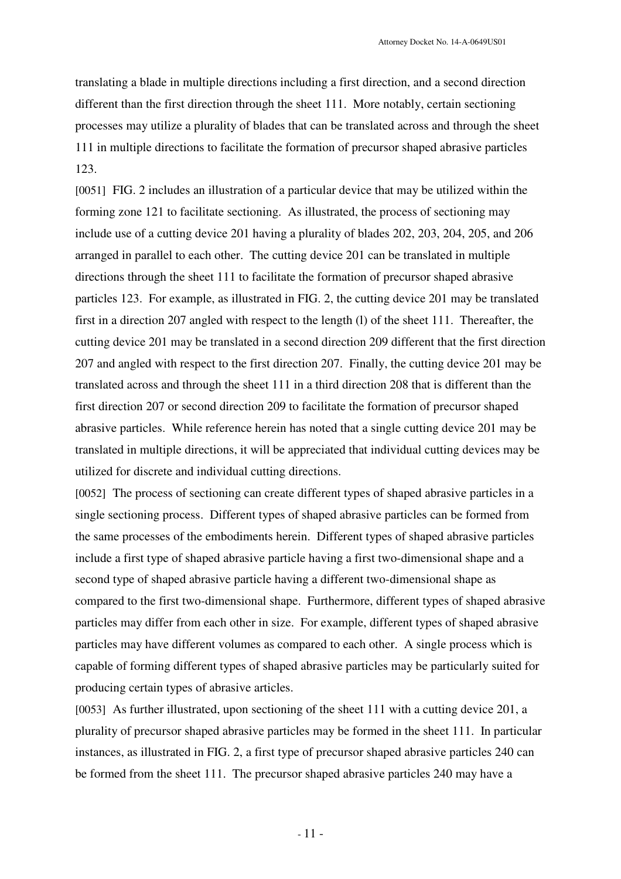translating a blade in multiple directions including a first direction, and a second direction different than the first direction through the sheet 111. More notably, certain sectioning processes may utilize a plurality of blades that can be translated across and through the sheet 111 in multiple directions to facilitate the formation of precursor shaped abrasive particles 123.

[0051] FIG. 2 includes an illustration of a particular device that may be utilized within the forming zone 121 to facilitate sectioning. As illustrated, the process of sectioning may include use of a cutting device 201 having a plurality of blades 202, 203, 204, 205, and 206 arranged in parallel to each other. The cutting device 201 can be translated in multiple directions through the sheet 111 to facilitate the formation of precursor shaped abrasive particles 123. For example, as illustrated in FIG. 2, the cutting device 201 may be translated first in a direction 207 angled with respect to the length (l) of the sheet 111. Thereafter, the cutting device 201 may be translated in a second direction 209 different that the first direction 207 and angled with respect to the first direction 207. Finally, the cutting device 201 may be translated across and through the sheet 111 in a third direction 208 that is different than the first direction 207 or second direction 209 to facilitate the formation of precursor shaped abrasive particles. While reference herein has noted that a single cutting device 201 may be translated in multiple directions, it will be appreciated that individual cutting devices may be utilized for discrete and individual cutting directions.

[0052] The process of sectioning can create different types of shaped abrasive particles in a single sectioning process. Different types of shaped abrasive particles can be formed from the same processes of the embodiments herein. Different types of shaped abrasive particles include a first type of shaped abrasive particle having a first two-dimensional shape and a second type of shaped abrasive particle having a different two-dimensional shape as compared to the first two-dimensional shape. Furthermore, different types of shaped abrasive particles may differ from each other in size. For example, different types of shaped abrasive particles may have different volumes as compared to each other. A single process which is capable of forming different types of shaped abrasive particles may be particularly suited for producing certain types of abrasive articles.

[0053] As further illustrated, upon sectioning of the sheet 111 with a cutting device 201, a plurality of precursor shaped abrasive particles may be formed in the sheet 111. In particular instances, as illustrated in FIG. 2, a first type of precursor shaped abrasive particles 240 can be formed from the sheet 111. The precursor shaped abrasive particles 240 may have a

- 11 -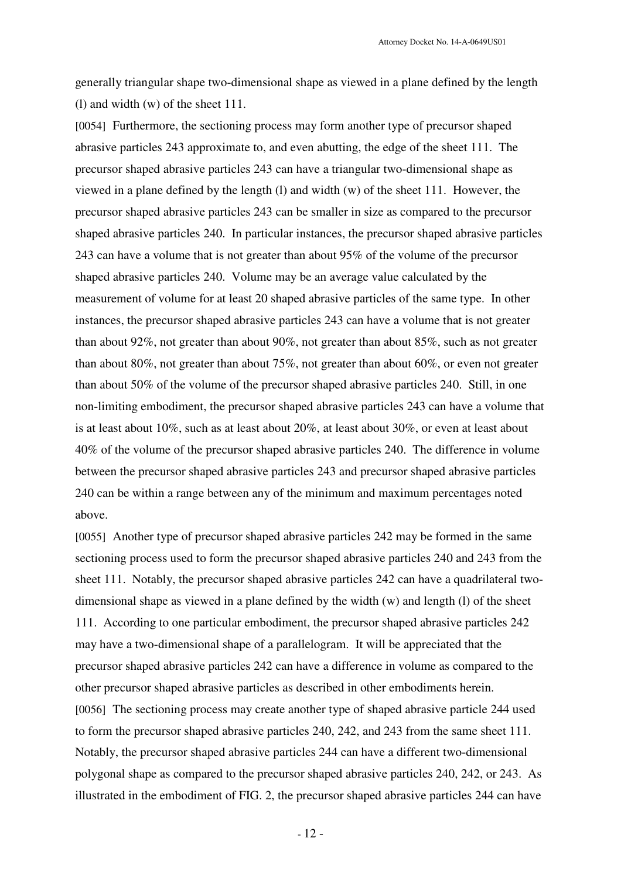generally triangular shape two-dimensional shape as viewed in a plane defined by the length (l) and width (w) of the sheet 111.

[0054] Furthermore, the sectioning process may form another type of precursor shaped abrasive particles 243 approximate to, and even abutting, the edge of the sheet 111. The precursor shaped abrasive particles 243 can have a triangular two-dimensional shape as viewed in a plane defined by the length (l) and width (w) of the sheet 111. However, the precursor shaped abrasive particles 243 can be smaller in size as compared to the precursor shaped abrasive particles 240. In particular instances, the precursor shaped abrasive particles 243 can have a volume that is not greater than about 95% of the volume of the precursor shaped abrasive particles 240. Volume may be an average value calculated by the measurement of volume for at least 20 shaped abrasive particles of the same type. In other instances, the precursor shaped abrasive particles 243 can have a volume that is not greater than about 92%, not greater than about 90%, not greater than about 85%, such as not greater than about 80%, not greater than about 75%, not greater than about 60%, or even not greater than about 50% of the volume of the precursor shaped abrasive particles 240. Still, in one non-limiting embodiment, the precursor shaped abrasive particles 243 can have a volume that is at least about 10%, such as at least about 20%, at least about 30%, or even at least about 40% of the volume of the precursor shaped abrasive particles 240. The difference in volume between the precursor shaped abrasive particles 243 and precursor shaped abrasive particles 240 can be within a range between any of the minimum and maximum percentages noted above.

[0055] Another type of precursor shaped abrasive particles 242 may be formed in the same sectioning process used to form the precursor shaped abrasive particles 240 and 243 from the sheet 111. Notably, the precursor shaped abrasive particles 242 can have a quadrilateral twodimensional shape as viewed in a plane defined by the width (w) and length (l) of the sheet 111. According to one particular embodiment, the precursor shaped abrasive particles 242 may have a two-dimensional shape of a parallelogram. It will be appreciated that the precursor shaped abrasive particles 242 can have a difference in volume as compared to the other precursor shaped abrasive particles as described in other embodiments herein. [0056] The sectioning process may create another type of shaped abrasive particle 244 used to form the precursor shaped abrasive particles 240, 242, and 243 from the same sheet 111. Notably, the precursor shaped abrasive particles 244 can have a different two-dimensional polygonal shape as compared to the precursor shaped abrasive particles 240, 242, or 243. As illustrated in the embodiment of FIG. 2, the precursor shaped abrasive particles 244 can have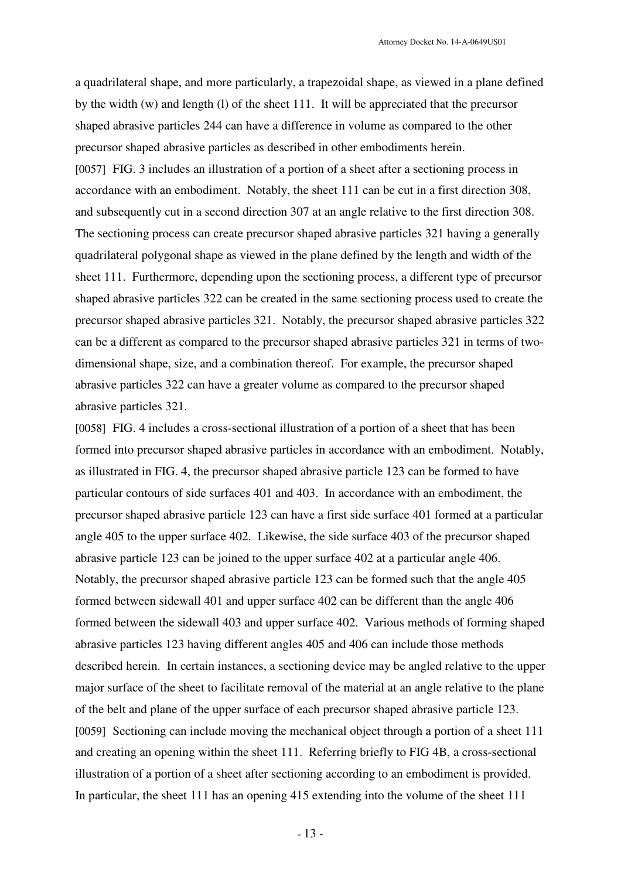a quadrilateral shape, and more particularly, a trapezoidal shape, as viewed in a plane defined by the width (w) and length (l) of the sheet 111. It will be appreciated that the precursor shaped abrasive particles 244 can have a difference in volume as compared to the other precursor shaped abrasive particles as described in other embodiments herein. [0057] FIG. 3 includes an illustration of a portion of a sheet after a sectioning process in accordance with an embodiment. Notably, the sheet 111 can be cut in a first direction 308, and subsequently cut in a second direction 307 at an angle relative to the first direction 308. The sectioning process can create precursor shaped abrasive particles 321 having a generally quadrilateral polygonal shape as viewed in the plane defined by the length and width of the sheet 111. Furthermore, depending upon the sectioning process, a different type of precursor shaped abrasive particles 322 can be created in the same sectioning process used to create the precursor shaped abrasive particles 321. Notably, the precursor shaped abrasive particles 322 can be a different as compared to the precursor shaped abrasive particles 321 in terms of twodimensional shape, size, and a combination thereof. For example, the precursor shaped abrasive particles 322 can have a greater volume as compared to the precursor shaped abrasive particles 321.

[0058] FIG. 4 includes a cross-sectional illustration of a portion of a sheet that has been formed into precursor shaped abrasive particles in accordance with an embodiment. Notably, as illustrated in FIG. 4, the precursor shaped abrasive particle 123 can be formed to have particular contours of side surfaces 401 and 403. In accordance with an embodiment, the precursor shaped abrasive particle 123 can have a first side surface 401 formed at a particular angle 405 to the upper surface 402. Likewise, the side surface 403 of the precursor shaped abrasive particle 123 can be joined to the upper surface 402 at a particular angle 406. Notably, the precursor shaped abrasive particle 123 can be formed such that the angle 405 formed between sidewall 401 and upper surface 402 can be different than the angle 406 formed between the sidewall 403 and upper surface 402. Various methods of forming shaped abrasive particles 123 having different angles 405 and 406 can include those methods described herein. In certain instances, a sectioning device may be angled relative to the upper major surface of the sheet to facilitate removal of the material at an angle relative to the plane of the belt and plane of the upper surface of each precursor shaped abrasive particle 123. [0059] Sectioning can include moving the mechanical object through a portion of a sheet 111 and creating an opening within the sheet 111. Referring briefly to FIG 4B, a cross-sectional illustration of a portion of a sheet after sectioning according to an embodiment is provided. In particular, the sheet 111 has an opening 415 extending into the volume of the sheet 111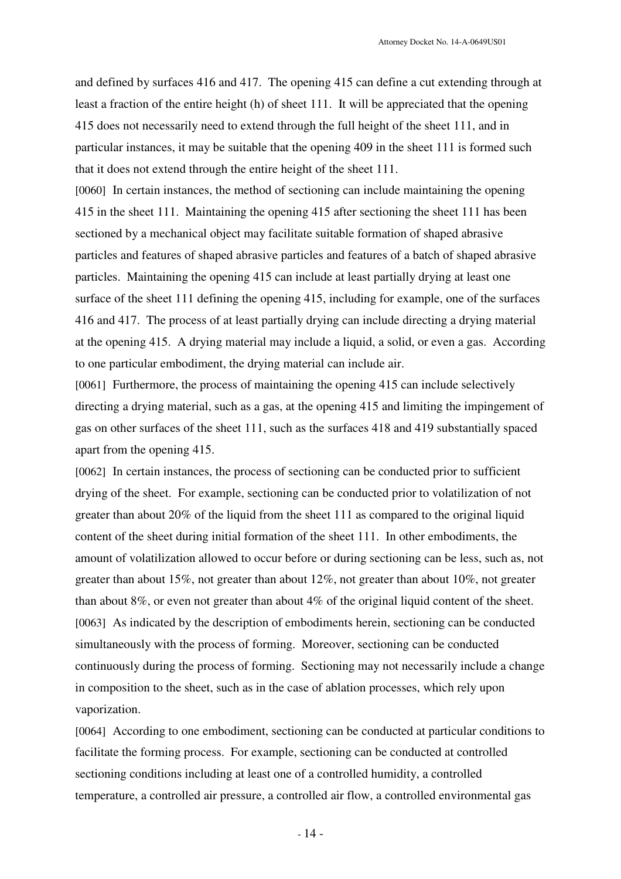and defined by surfaces 416 and 417. The opening 415 can define a cut extending through at least a fraction of the entire height (h) of sheet 111. It will be appreciated that the opening 415 does not necessarily need to extend through the full height of the sheet 111, and in particular instances, it may be suitable that the opening 409 in the sheet 111 is formed such that it does not extend through the entire height of the sheet 111.

[0060] In certain instances, the method of sectioning can include maintaining the opening 415 in the sheet 111. Maintaining the opening 415 after sectioning the sheet 111 has been sectioned by a mechanical object may facilitate suitable formation of shaped abrasive particles and features of shaped abrasive particles and features of a batch of shaped abrasive particles. Maintaining the opening 415 can include at least partially drying at least one surface of the sheet 111 defining the opening 415, including for example, one of the surfaces 416 and 417. The process of at least partially drying can include directing a drying material at the opening 415. A drying material may include a liquid, a solid, or even a gas. According to one particular embodiment, the drying material can include air.

[0061] Furthermore, the process of maintaining the opening 415 can include selectively directing a drying material, such as a gas, at the opening 415 and limiting the impingement of gas on other surfaces of the sheet 111, such as the surfaces 418 and 419 substantially spaced apart from the opening 415.

[0062] In certain instances, the process of sectioning can be conducted prior to sufficient drying of the sheet. For example, sectioning can be conducted prior to volatilization of not greater than about 20% of the liquid from the sheet 111 as compared to the original liquid content of the sheet during initial formation of the sheet 111. In other embodiments, the amount of volatilization allowed to occur before or during sectioning can be less, such as, not greater than about 15%, not greater than about 12%, not greater than about 10%, not greater than about 8%, or even not greater than about 4% of the original liquid content of the sheet. [0063] As indicated by the description of embodiments herein, sectioning can be conducted simultaneously with the process of forming. Moreover, sectioning can be conducted continuously during the process of forming. Sectioning may not necessarily include a change in composition to the sheet, such as in the case of ablation processes, which rely upon vaporization.

[0064] According to one embodiment, sectioning can be conducted at particular conditions to facilitate the forming process. For example, sectioning can be conducted at controlled sectioning conditions including at least one of a controlled humidity, a controlled temperature, a controlled air pressure, a controlled air flow, a controlled environmental gas

- 14 -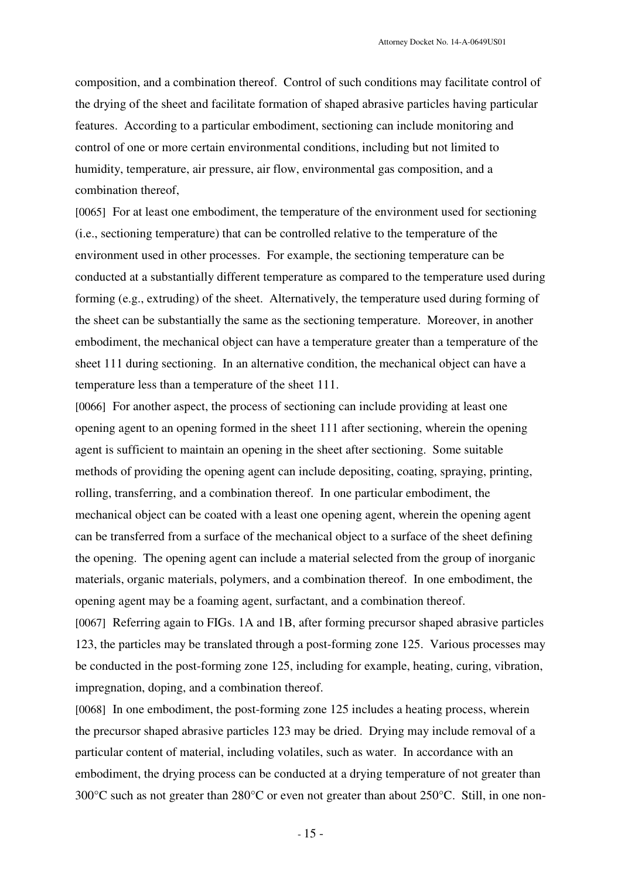composition, and a combination thereof. Control of such conditions may facilitate control of the drying of the sheet and facilitate formation of shaped abrasive particles having particular features. According to a particular embodiment, sectioning can include monitoring and control of one or more certain environmental conditions, including but not limited to humidity, temperature, air pressure, air flow, environmental gas composition, and a combination thereof,

[0065] For at least one embodiment, the temperature of the environment used for sectioning (i.e., sectioning temperature) that can be controlled relative to the temperature of the environment used in other processes. For example, the sectioning temperature can be conducted at a substantially different temperature as compared to the temperature used during forming (e.g., extruding) of the sheet. Alternatively, the temperature used during forming of the sheet can be substantially the same as the sectioning temperature. Moreover, in another embodiment, the mechanical object can have a temperature greater than a temperature of the sheet 111 during sectioning. In an alternative condition, the mechanical object can have a temperature less than a temperature of the sheet 111.

[0066] For another aspect, the process of sectioning can include providing at least one opening agent to an opening formed in the sheet 111 after sectioning, wherein the opening agent is sufficient to maintain an opening in the sheet after sectioning. Some suitable methods of providing the opening agent can include depositing, coating, spraying, printing, rolling, transferring, and a combination thereof. In one particular embodiment, the mechanical object can be coated with a least one opening agent, wherein the opening agent can be transferred from a surface of the mechanical object to a surface of the sheet defining the opening. The opening agent can include a material selected from the group of inorganic materials, organic materials, polymers, and a combination thereof. In one embodiment, the opening agent may be a foaming agent, surfactant, and a combination thereof.

[0067] Referring again to FIGs. 1A and 1B, after forming precursor shaped abrasive particles 123, the particles may be translated through a post-forming zone 125. Various processes may be conducted in the post-forming zone 125, including for example, heating, curing, vibration, impregnation, doping, and a combination thereof.

[0068] In one embodiment, the post-forming zone 125 includes a heating process, wherein the precursor shaped abrasive particles 123 may be dried. Drying may include removal of a particular content of material, including volatiles, such as water. In accordance with an embodiment, the drying process can be conducted at a drying temperature of not greater than 300°C such as not greater than 280°C or even not greater than about 250°C. Still, in one non-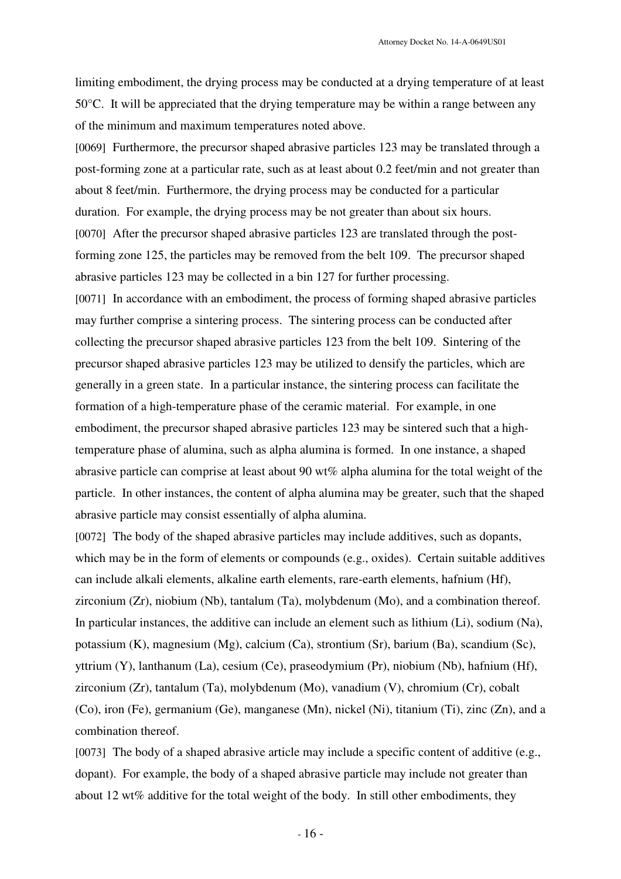Attorney Docket No. 14-A-0649US01

limiting embodiment, the drying process may be conducted at a drying temperature of at least 50°C. It will be appreciated that the drying temperature may be within a range between any of the minimum and maximum temperatures noted above.

[0069] Furthermore, the precursor shaped abrasive particles 123 may be translated through a post-forming zone at a particular rate, such as at least about 0.2 feet/min and not greater than about 8 feet/min. Furthermore, the drying process may be conducted for a particular duration. For example, the drying process may be not greater than about six hours. [0070] After the precursor shaped abrasive particles 123 are translated through the postforming zone 125, the particles may be removed from the belt 109. The precursor shaped abrasive particles 123 may be collected in a bin 127 for further processing. [0071] In accordance with an embodiment, the process of forming shaped abrasive particles may further comprise a sintering process. The sintering process can be conducted after collecting the precursor shaped abrasive particles 123 from the belt 109. Sintering of the precursor shaped abrasive particles 123 may be utilized to densify the particles, which are generally in a green state. In a particular instance, the sintering process can facilitate the formation of a high-temperature phase of the ceramic material. For example, in one embodiment, the precursor shaped abrasive particles 123 may be sintered such that a hightemperature phase of alumina, such as alpha alumina is formed. In one instance, a shaped abrasive particle can comprise at least about 90 wt% alpha alumina for the total weight of the particle. In other instances, the content of alpha alumina may be greater, such that the shaped

abrasive particle may consist essentially of alpha alumina.

[0072] The body of the shaped abrasive particles may include additives, such as dopants, which may be in the form of elements or compounds (e.g., oxides). Certain suitable additives can include alkali elements, alkaline earth elements, rare-earth elements, hafnium (Hf), zirconium (Zr), niobium (Nb), tantalum (Ta), molybdenum (Mo), and a combination thereof. In particular instances, the additive can include an element such as lithium (Li), sodium (Na), potassium (K), magnesium (Mg), calcium (Ca), strontium (Sr), barium (Ba), scandium (Sc), yttrium (Y), lanthanum (La), cesium (Ce), praseodymium (Pr), niobium (Nb), hafnium (Hf), zirconium (Zr), tantalum (Ta), molybdenum (Mo), vanadium (V), chromium (Cr), cobalt (Co), iron (Fe), germanium (Ge), manganese (Mn), nickel (Ni), titanium (Ti), zinc (Zn), and a combination thereof.

[0073] The body of a shaped abrasive article may include a specific content of additive (e.g., dopant). For example, the body of a shaped abrasive particle may include not greater than about 12 wt% additive for the total weight of the body. In still other embodiments, they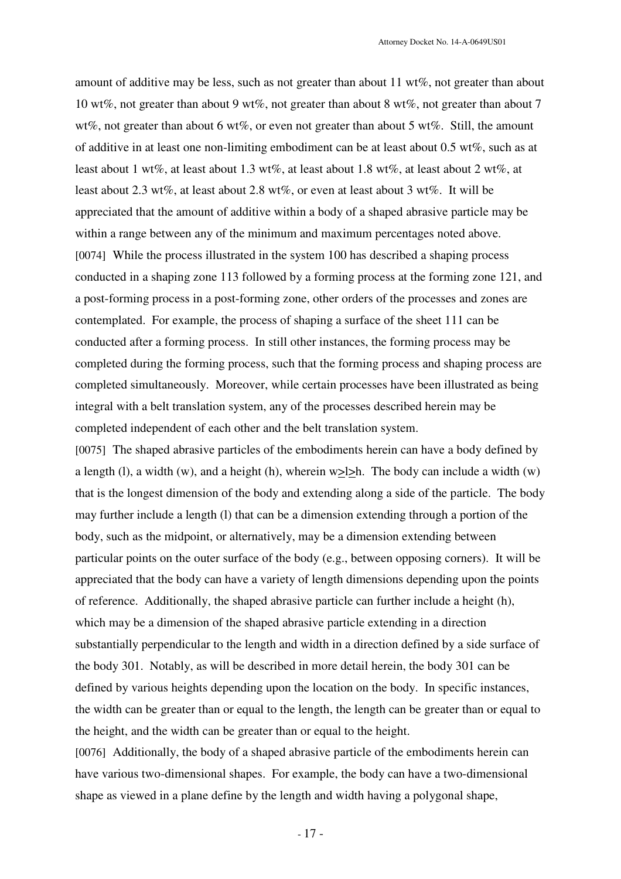amount of additive may be less, such as not greater than about 11 wt%, not greater than about 10 wt%, not greater than about 9 wt%, not greater than about 8 wt%, not greater than about 7 wt%, not greater than about 6 wt%, or even not greater than about 5 wt%. Still, the amount of additive in at least one non-limiting embodiment can be at least about 0.5 wt%, such as at least about 1 wt%, at least about 1.3 wt%, at least about 1.8 wt%, at least about 2 wt%, at least about 2.3 wt%, at least about 2.8 wt%, or even at least about 3 wt%. It will be appreciated that the amount of additive within a body of a shaped abrasive particle may be within a range between any of the minimum and maximum percentages noted above. [0074] While the process illustrated in the system 100 has described a shaping process conducted in a shaping zone 113 followed by a forming process at the forming zone 121, and a post-forming process in a post-forming zone, other orders of the processes and zones are contemplated. For example, the process of shaping a surface of the sheet 111 can be conducted after a forming process. In still other instances, the forming process may be completed during the forming process, such that the forming process and shaping process are completed simultaneously. Moreover, while certain processes have been illustrated as being integral with a belt translation system, any of the processes described herein may be completed independent of each other and the belt translation system.

[0075] The shaped abrasive particles of the embodiments herein can have a body defined by a length (l), a width (w), and a height (h), wherein  $w\geq l\geq h$ . The body can include a width (w) that is the longest dimension of the body and extending along a side of the particle. The body may further include a length (l) that can be a dimension extending through a portion of the body, such as the midpoint, or alternatively, may be a dimension extending between particular points on the outer surface of the body (e.g., between opposing corners). It will be appreciated that the body can have a variety of length dimensions depending upon the points of reference. Additionally, the shaped abrasive particle can further include a height (h), which may be a dimension of the shaped abrasive particle extending in a direction substantially perpendicular to the length and width in a direction defined by a side surface of the body 301. Notably, as will be described in more detail herein, the body 301 can be defined by various heights depending upon the location on the body. In specific instances, the width can be greater than or equal to the length, the length can be greater than or equal to the height, and the width can be greater than or equal to the height.

[0076] Additionally, the body of a shaped abrasive particle of the embodiments herein can have various two-dimensional shapes. For example, the body can have a two-dimensional shape as viewed in a plane define by the length and width having a polygonal shape,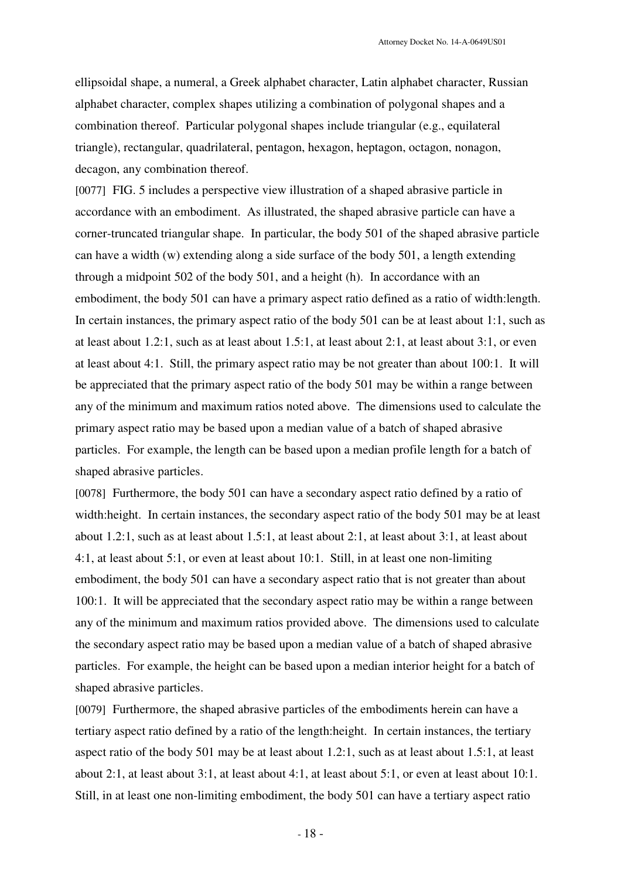ellipsoidal shape, a numeral, a Greek alphabet character, Latin alphabet character, Russian alphabet character, complex shapes utilizing a combination of polygonal shapes and a combination thereof. Particular polygonal shapes include triangular (e.g., equilateral triangle), rectangular, quadrilateral, pentagon, hexagon, heptagon, octagon, nonagon, decagon, any combination thereof.

[0077] FIG. 5 includes a perspective view illustration of a shaped abrasive particle in accordance with an embodiment. As illustrated, the shaped abrasive particle can have a corner-truncated triangular shape. In particular, the body 501 of the shaped abrasive particle can have a width (w) extending along a side surface of the body 501, a length extending through a midpoint 502 of the body 501, and a height (h). In accordance with an embodiment, the body 501 can have a primary aspect ratio defined as a ratio of width:length. In certain instances, the primary aspect ratio of the body 501 can be at least about 1:1, such as at least about 1.2:1, such as at least about 1.5:1, at least about 2:1, at least about 3:1, or even at least about 4:1. Still, the primary aspect ratio may be not greater than about 100:1. It will be appreciated that the primary aspect ratio of the body 501 may be within a range between any of the minimum and maximum ratios noted above. The dimensions used to calculate the primary aspect ratio may be based upon a median value of a batch of shaped abrasive particles. For example, the length can be based upon a median profile length for a batch of shaped abrasive particles.

[0078] Furthermore, the body 501 can have a secondary aspect ratio defined by a ratio of width:height. In certain instances, the secondary aspect ratio of the body 501 may be at least about 1.2:1, such as at least about 1.5:1, at least about 2:1, at least about 3:1, at least about 4:1, at least about 5:1, or even at least about 10:1. Still, in at least one non-limiting embodiment, the body 501 can have a secondary aspect ratio that is not greater than about 100:1. It will be appreciated that the secondary aspect ratio may be within a range between any of the minimum and maximum ratios provided above. The dimensions used to calculate the secondary aspect ratio may be based upon a median value of a batch of shaped abrasive particles. For example, the height can be based upon a median interior height for a batch of shaped abrasive particles.

[0079] Furthermore, the shaped abrasive particles of the embodiments herein can have a tertiary aspect ratio defined by a ratio of the length:height. In certain instances, the tertiary aspect ratio of the body 501 may be at least about 1.2:1, such as at least about 1.5:1, at least about 2:1, at least about 3:1, at least about 4:1, at least about 5:1, or even at least about 10:1. Still, in at least one non-limiting embodiment, the body 501 can have a tertiary aspect ratio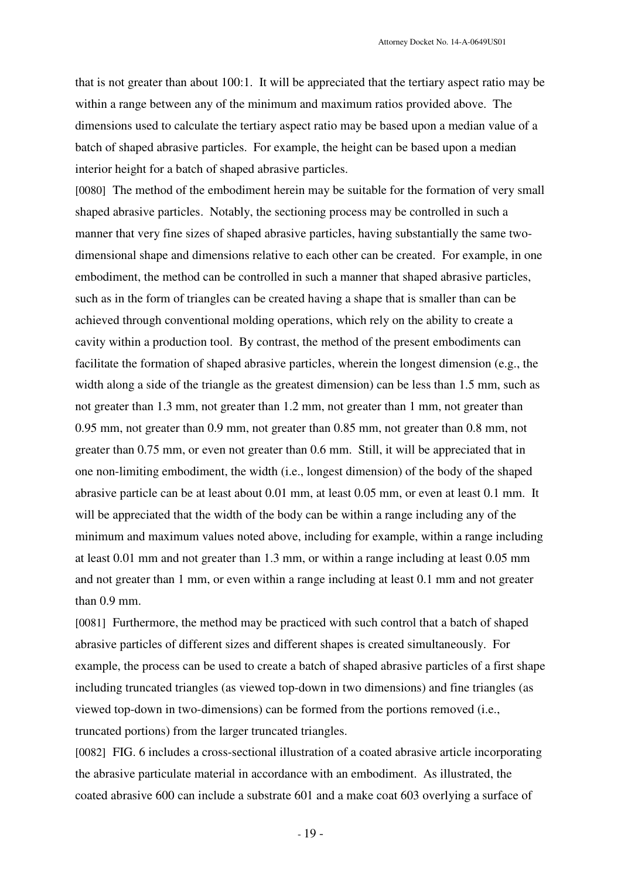that is not greater than about 100:1. It will be appreciated that the tertiary aspect ratio may be within a range between any of the minimum and maximum ratios provided above. The dimensions used to calculate the tertiary aspect ratio may be based upon a median value of a batch of shaped abrasive particles. For example, the height can be based upon a median interior height for a batch of shaped abrasive particles.

[0080] The method of the embodiment herein may be suitable for the formation of very small shaped abrasive particles. Notably, the sectioning process may be controlled in such a manner that very fine sizes of shaped abrasive particles, having substantially the same twodimensional shape and dimensions relative to each other can be created. For example, in one embodiment, the method can be controlled in such a manner that shaped abrasive particles, such as in the form of triangles can be created having a shape that is smaller than can be achieved through conventional molding operations, which rely on the ability to create a cavity within a production tool. By contrast, the method of the present embodiments can facilitate the formation of shaped abrasive particles, wherein the longest dimension (e.g., the width along a side of the triangle as the greatest dimension) can be less than 1.5 mm, such as not greater than 1.3 mm, not greater than 1.2 mm, not greater than 1 mm, not greater than 0.95 mm, not greater than 0.9 mm, not greater than 0.85 mm, not greater than 0.8 mm, not greater than 0.75 mm, or even not greater than 0.6 mm. Still, it will be appreciated that in one non-limiting embodiment, the width (i.e., longest dimension) of the body of the shaped abrasive particle can be at least about 0.01 mm, at least 0.05 mm, or even at least 0.1 mm. It will be appreciated that the width of the body can be within a range including any of the minimum and maximum values noted above, including for example, within a range including at least 0.01 mm and not greater than 1.3 mm, or within a range including at least 0.05 mm and not greater than 1 mm, or even within a range including at least 0.1 mm and not greater than 0.9 mm.

[0081] Furthermore, the method may be practiced with such control that a batch of shaped abrasive particles of different sizes and different shapes is created simultaneously. For example, the process can be used to create a batch of shaped abrasive particles of a first shape including truncated triangles (as viewed top-down in two dimensions) and fine triangles (as viewed top-down in two-dimensions) can be formed from the portions removed (i.e., truncated portions) from the larger truncated triangles.

[0082] FIG. 6 includes a cross-sectional illustration of a coated abrasive article incorporating the abrasive particulate material in accordance with an embodiment. As illustrated, the coated abrasive 600 can include a substrate 601 and a make coat 603 overlying a surface of

- 19 -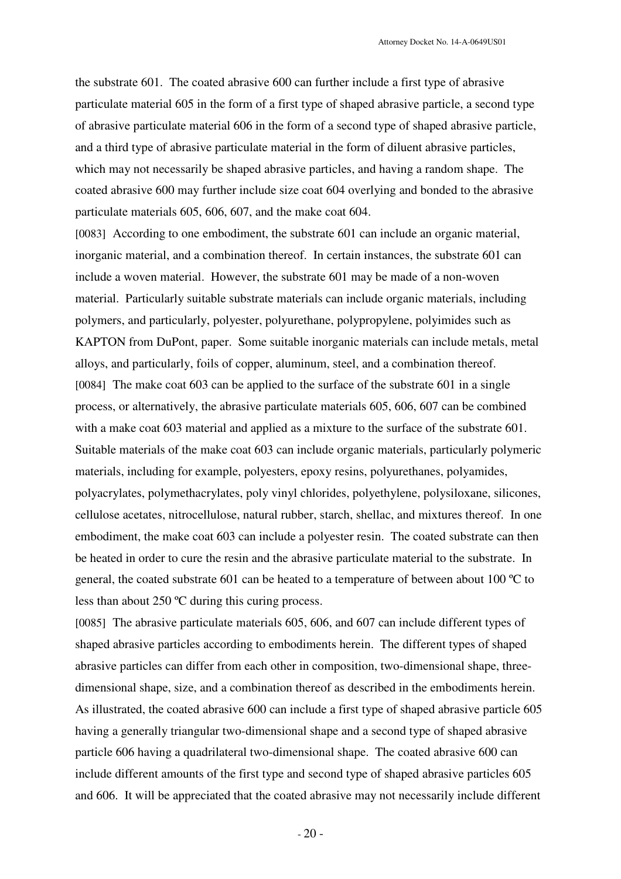the substrate 601. The coated abrasive 600 can further include a first type of abrasive particulate material 605 in the form of a first type of shaped abrasive particle, a second type of abrasive particulate material 606 in the form of a second type of shaped abrasive particle, and a third type of abrasive particulate material in the form of diluent abrasive particles, which may not necessarily be shaped abrasive particles, and having a random shape. The coated abrasive 600 may further include size coat 604 overlying and bonded to the abrasive particulate materials 605, 606, 607, and the make coat 604.

[0083] According to one embodiment, the substrate 601 can include an organic material, inorganic material, and a combination thereof. In certain instances, the substrate 601 can include a woven material. However, the substrate 601 may be made of a non-woven material. Particularly suitable substrate materials can include organic materials, including polymers, and particularly, polyester, polyurethane, polypropylene, polyimides such as KAPTON from DuPont, paper. Some suitable inorganic materials can include metals, metal alloys, and particularly, foils of copper, aluminum, steel, and a combination thereof. [0084] The make coat 603 can be applied to the surface of the substrate 601 in a single process, or alternatively, the abrasive particulate materials 605, 606, 607 can be combined with a make coat 603 material and applied as a mixture to the surface of the substrate 601. Suitable materials of the make coat 603 can include organic materials, particularly polymeric materials, including for example, polyesters, epoxy resins, polyurethanes, polyamides, polyacrylates, polymethacrylates, poly vinyl chlorides, polyethylene, polysiloxane, silicones, cellulose acetates, nitrocellulose, natural rubber, starch, shellac, and mixtures thereof. In one embodiment, the make coat 603 can include a polyester resin. The coated substrate can then be heated in order to cure the resin and the abrasive particulate material to the substrate. In general, the coated substrate 601 can be heated to a temperature of between about 100 ºC to less than about 250 ºC during this curing process.

[0085] The abrasive particulate materials 605, 606, and 607 can include different types of shaped abrasive particles according to embodiments herein. The different types of shaped abrasive particles can differ from each other in composition, two-dimensional shape, threedimensional shape, size, and a combination thereof as described in the embodiments herein. As illustrated, the coated abrasive 600 can include a first type of shaped abrasive particle 605 having a generally triangular two-dimensional shape and a second type of shaped abrasive particle 606 having a quadrilateral two-dimensional shape. The coated abrasive 600 can include different amounts of the first type and second type of shaped abrasive particles 605 and 606. It will be appreciated that the coated abrasive may not necessarily include different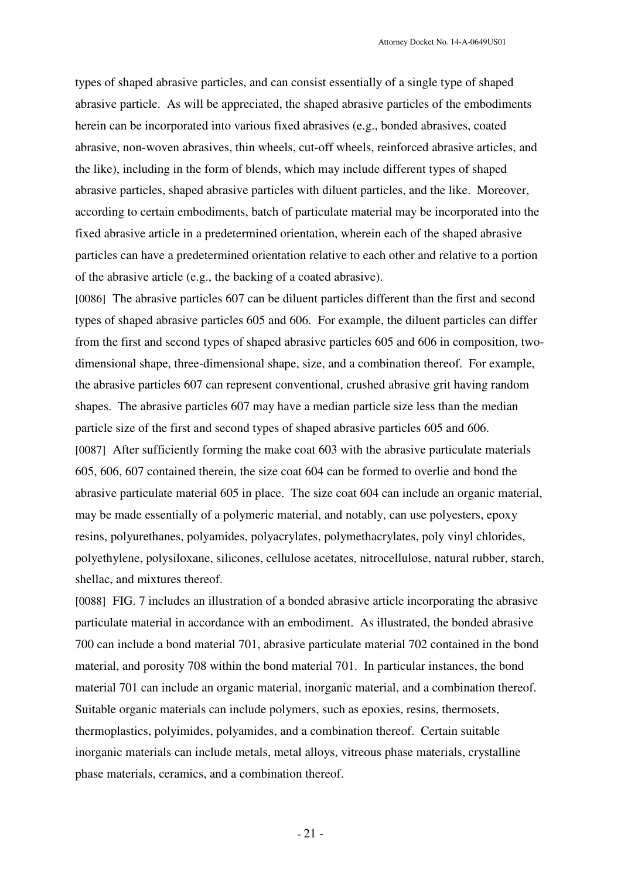types of shaped abrasive particles, and can consist essentially of a single type of shaped abrasive particle. As will be appreciated, the shaped abrasive particles of the embodiments herein can be incorporated into various fixed abrasives (e.g., bonded abrasives, coated abrasive, non-woven abrasives, thin wheels, cut-off wheels, reinforced abrasive articles, and the like), including in the form of blends, which may include different types of shaped abrasive particles, shaped abrasive particles with diluent particles, and the like. Moreover, according to certain embodiments, batch of particulate material may be incorporated into the fixed abrasive article in a predetermined orientation, wherein each of the shaped abrasive particles can have a predetermined orientation relative to each other and relative to a portion of the abrasive article (e.g., the backing of a coated abrasive).

[0086] The abrasive particles 607 can be diluent particles different than the first and second types of shaped abrasive particles 605 and 606. For example, the diluent particles can differ from the first and second types of shaped abrasive particles 605 and 606 in composition, twodimensional shape, three-dimensional shape, size, and a combination thereof. For example, the abrasive particles 607 can represent conventional, crushed abrasive grit having random shapes. The abrasive particles 607 may have a median particle size less than the median particle size of the first and second types of shaped abrasive particles 605 and 606. [0087] After sufficiently forming the make coat 603 with the abrasive particulate materials 605, 606, 607 contained therein, the size coat 604 can be formed to overlie and bond the abrasive particulate material 605 in place. The size coat 604 can include an organic material, may be made essentially of a polymeric material, and notably, can use polyesters, epoxy resins, polyurethanes, polyamides, polyacrylates, polymethacrylates, poly vinyl chlorides, polyethylene, polysiloxane, silicones, cellulose acetates, nitrocellulose, natural rubber, starch, shellac, and mixtures thereof.

[0088] FIG. 7 includes an illustration of a bonded abrasive article incorporating the abrasive particulate material in accordance with an embodiment. As illustrated, the bonded abrasive 700 can include a bond material 701, abrasive particulate material 702 contained in the bond material, and porosity 708 within the bond material 701. In particular instances, the bond material 701 can include an organic material, inorganic material, and a combination thereof. Suitable organic materials can include polymers, such as epoxies, resins, thermosets, thermoplastics, polyimides, polyamides, and a combination thereof. Certain suitable inorganic materials can include metals, metal alloys, vitreous phase materials, crystalline phase materials, ceramics, and a combination thereof.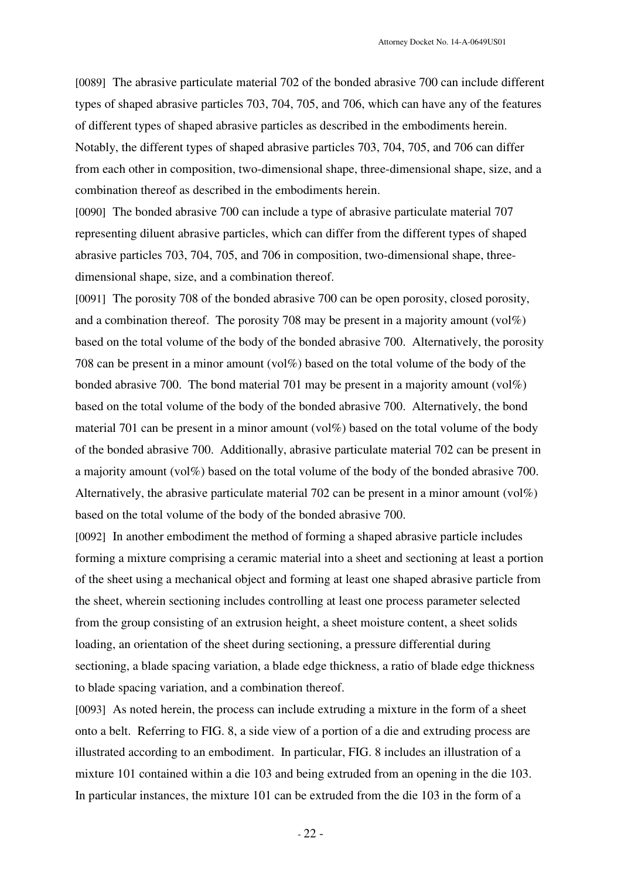[0089] The abrasive particulate material 702 of the bonded abrasive 700 can include different types of shaped abrasive particles 703, 704, 705, and 706, which can have any of the features of different types of shaped abrasive particles as described in the embodiments herein. Notably, the different types of shaped abrasive particles 703, 704, 705, and 706 can differ from each other in composition, two-dimensional shape, three-dimensional shape, size, and a combination thereof as described in the embodiments herein.

[0090] The bonded abrasive 700 can include a type of abrasive particulate material 707 representing diluent abrasive particles, which can differ from the different types of shaped abrasive particles 703, 704, 705, and 706 in composition, two-dimensional shape, threedimensional shape, size, and a combination thereof.

[0091] The porosity 708 of the bonded abrasive 700 can be open porosity, closed porosity, and a combination thereof. The porosity 708 may be present in a majority amount  $\langle \text{vol} \% \rangle$ based on the total volume of the body of the bonded abrasive 700. Alternatively, the porosity 708 can be present in a minor amount (vol%) based on the total volume of the body of the bonded abrasive 700. The bond material 701 may be present in a majority amount (vol%) based on the total volume of the body of the bonded abrasive 700. Alternatively, the bond material 701 can be present in a minor amount (vol%) based on the total volume of the body of the bonded abrasive 700. Additionally, abrasive particulate material 702 can be present in a majority amount (vol%) based on the total volume of the body of the bonded abrasive 700. Alternatively, the abrasive particulate material 702 can be present in a minor amount (vol%) based on the total volume of the body of the bonded abrasive 700.

[0092] In another embodiment the method of forming a shaped abrasive particle includes forming a mixture comprising a ceramic material into a sheet and sectioning at least a portion of the sheet using a mechanical object and forming at least one shaped abrasive particle from the sheet, wherein sectioning includes controlling at least one process parameter selected from the group consisting of an extrusion height, a sheet moisture content, a sheet solids loading, an orientation of the sheet during sectioning, a pressure differential during sectioning, a blade spacing variation, a blade edge thickness, a ratio of blade edge thickness to blade spacing variation, and a combination thereof.

[0093] As noted herein, the process can include extruding a mixture in the form of a sheet onto a belt. Referring to FIG. 8, a side view of a portion of a die and extruding process are illustrated according to an embodiment. In particular, FIG. 8 includes an illustration of a mixture 101 contained within a die 103 and being extruded from an opening in the die 103. In particular instances, the mixture 101 can be extruded from the die 103 in the form of a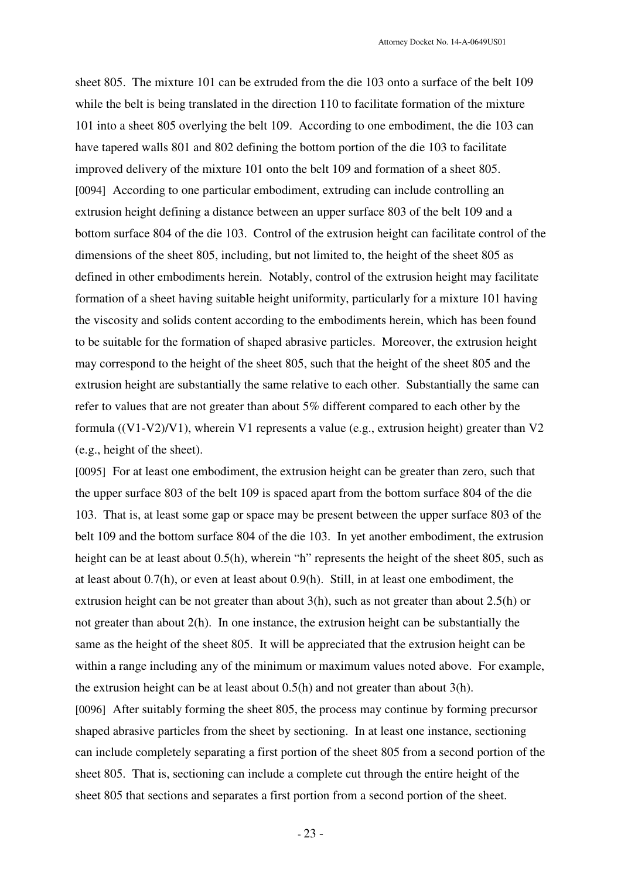sheet 805. The mixture 101 can be extruded from the die 103 onto a surface of the belt 109 while the belt is being translated in the direction 110 to facilitate formation of the mixture 101 into a sheet 805 overlying the belt 109. According to one embodiment, the die 103 can have tapered walls 801 and 802 defining the bottom portion of the die 103 to facilitate improved delivery of the mixture 101 onto the belt 109 and formation of a sheet 805. [0094] According to one particular embodiment, extruding can include controlling an extrusion height defining a distance between an upper surface 803 of the belt 109 and a bottom surface 804 of the die 103. Control of the extrusion height can facilitate control of the dimensions of the sheet 805, including, but not limited to, the height of the sheet 805 as defined in other embodiments herein. Notably, control of the extrusion height may facilitate formation of a sheet having suitable height uniformity, particularly for a mixture 101 having the viscosity and solids content according to the embodiments herein, which has been found to be suitable for the formation of shaped abrasive particles. Moreover, the extrusion height may correspond to the height of the sheet 805, such that the height of the sheet 805 and the extrusion height are substantially the same relative to each other. Substantially the same can refer to values that are not greater than about 5% different compared to each other by the formula ((V1-V2)/V1), wherein V1 represents a value (e.g., extrusion height) greater than V2 (e.g., height of the sheet).

[0095] For at least one embodiment, the extrusion height can be greater than zero, such that the upper surface 803 of the belt 109 is spaced apart from the bottom surface 804 of the die 103. That is, at least some gap or space may be present between the upper surface 803 of the belt 109 and the bottom surface 804 of the die 103. In yet another embodiment, the extrusion height can be at least about  $0.5(h)$ , wherein "h" represents the height of the sheet 805, such as at least about 0.7(h), or even at least about 0.9(h). Still, in at least one embodiment, the extrusion height can be not greater than about 3(h), such as not greater than about 2.5(h) or not greater than about 2(h). In one instance, the extrusion height can be substantially the same as the height of the sheet 805. It will be appreciated that the extrusion height can be within a range including any of the minimum or maximum values noted above. For example, the extrusion height can be at least about 0.5(h) and not greater than about 3(h). [0096] After suitably forming the sheet 805, the process may continue by forming precursor shaped abrasive particles from the sheet by sectioning. In at least one instance, sectioning can include completely separating a first portion of the sheet 805 from a second portion of the sheet 805. That is, sectioning can include a complete cut through the entire height of the sheet 805 that sections and separates a first portion from a second portion of the sheet.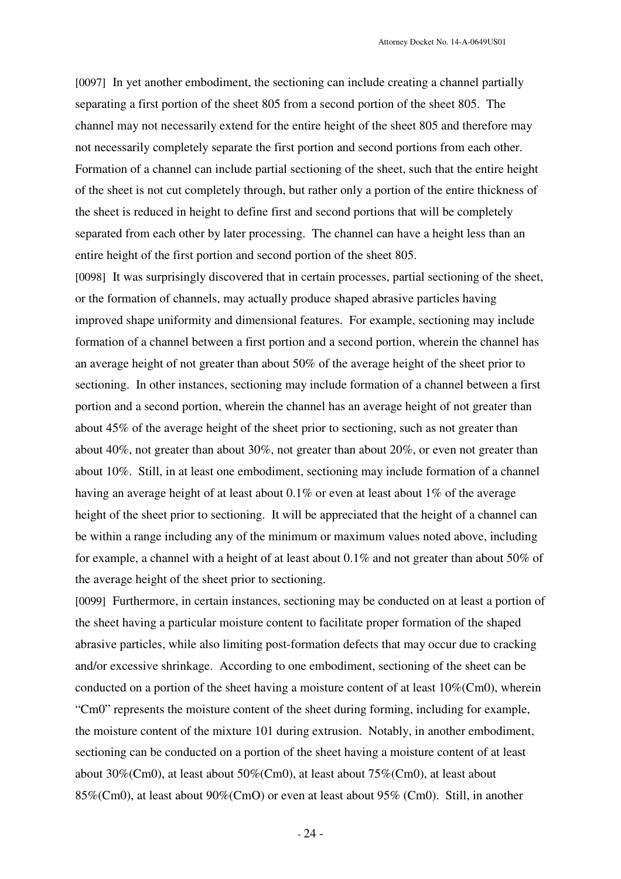[0097] In yet another embodiment, the sectioning can include creating a channel partially separating a first portion of the sheet 805 from a second portion of the sheet 805. The channel may not necessarily extend for the entire height of the sheet 805 and therefore may not necessarily completely separate the first portion and second portions from each other. Formation of a channel can include partial sectioning of the sheet, such that the entire height of the sheet is not cut completely through, but rather only a portion of the entire thickness of the sheet is reduced in height to define first and second portions that will be completely separated from each other by later processing. The channel can have a height less than an entire height of the first portion and second portion of the sheet 805.

[0098] It was surprisingly discovered that in certain processes, partial sectioning of the sheet, or the formation of channels, may actually produce shaped abrasive particles having improved shape uniformity and dimensional features. For example, sectioning may include formation of a channel between a first portion and a second portion, wherein the channel has an average height of not greater than about 50% of the average height of the sheet prior to sectioning. In other instances, sectioning may include formation of a channel between a first portion and a second portion, wherein the channel has an average height of not greater than about 45% of the average height of the sheet prior to sectioning, such as not greater than about 40%, not greater than about 30%, not greater than about 20%, or even not greater than about 10%. Still, in at least one embodiment, sectioning may include formation of a channel having an average height of at least about 0.1% or even at least about 1% of the average height of the sheet prior to sectioning. It will be appreciated that the height of a channel can be within a range including any of the minimum or maximum values noted above, including for example, a channel with a height of at least about 0.1% and not greater than about 50% of the average height of the sheet prior to sectioning.

[0099] Furthermore, in certain instances, sectioning may be conducted on at least a portion of the sheet having a particular moisture content to facilitate proper formation of the shaped abrasive particles, while also limiting post-formation defects that may occur due to cracking and/or excessive shrinkage. According to one embodiment, sectioning of the sheet can be conducted on a portion of the sheet having a moisture content of at least 10%(Cm0), wherein "Cm0" represents the moisture content of the sheet during forming, including for example, the moisture content of the mixture 101 during extrusion. Notably, in another embodiment, sectioning can be conducted on a portion of the sheet having a moisture content of at least about 30%(Cm0), at least about 50%(Cm0), at least about 75%(Cm0), at least about 85%(Cm0), at least about 90%(CmO) or even at least about 95% (Cm0). Still, in another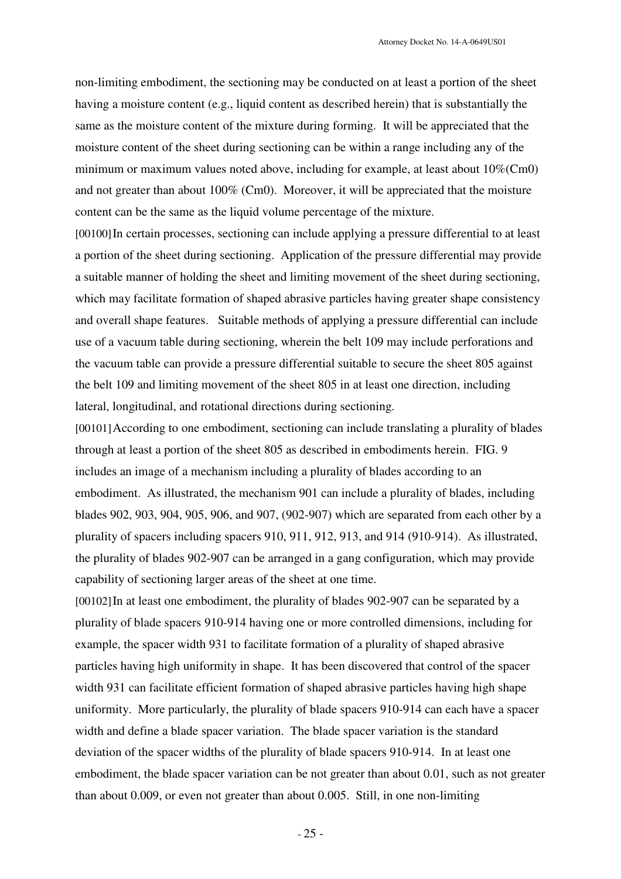non-limiting embodiment, the sectioning may be conducted on at least a portion of the sheet having a moisture content (e.g., liquid content as described herein) that is substantially the same as the moisture content of the mixture during forming. It will be appreciated that the moisture content of the sheet during sectioning can be within a range including any of the minimum or maximum values noted above, including for example, at least about 10%(Cm0) and not greater than about 100% (Cm0). Moreover, it will be appreciated that the moisture content can be the same as the liquid volume percentage of the mixture.

[00100]In certain processes, sectioning can include applying a pressure differential to at least a portion of the sheet during sectioning. Application of the pressure differential may provide a suitable manner of holding the sheet and limiting movement of the sheet during sectioning, which may facilitate formation of shaped abrasive particles having greater shape consistency and overall shape features. Suitable methods of applying a pressure differential can include use of a vacuum table during sectioning, wherein the belt 109 may include perforations and the vacuum table can provide a pressure differential suitable to secure the sheet 805 against the belt 109 and limiting movement of the sheet 805 in at least one direction, including lateral, longitudinal, and rotational directions during sectioning.

[00101]According to one embodiment, sectioning can include translating a plurality of blades through at least a portion of the sheet 805 as described in embodiments herein. FIG. 9 includes an image of a mechanism including a plurality of blades according to an embodiment. As illustrated, the mechanism 901 can include a plurality of blades, including blades 902, 903, 904, 905, 906, and 907, (902-907) which are separated from each other by a plurality of spacers including spacers 910, 911, 912, 913, and 914 (910-914). As illustrated, the plurality of blades 902-907 can be arranged in a gang configuration, which may provide capability of sectioning larger areas of the sheet at one time.

[00102] In at least one embodiment, the plurality of blades 902-907 can be separated by a plurality of blade spacers 910-914 having one or more controlled dimensions, including for example, the spacer width 931 to facilitate formation of a plurality of shaped abrasive particles having high uniformity in shape. It has been discovered that control of the spacer width 931 can facilitate efficient formation of shaped abrasive particles having high shape uniformity. More particularly, the plurality of blade spacers 910-914 can each have a spacer width and define a blade spacer variation. The blade spacer variation is the standard deviation of the spacer widths of the plurality of blade spacers 910-914. In at least one embodiment, the blade spacer variation can be not greater than about 0.01, such as not greater than about 0.009, or even not greater than about 0.005. Still, in one non-limiting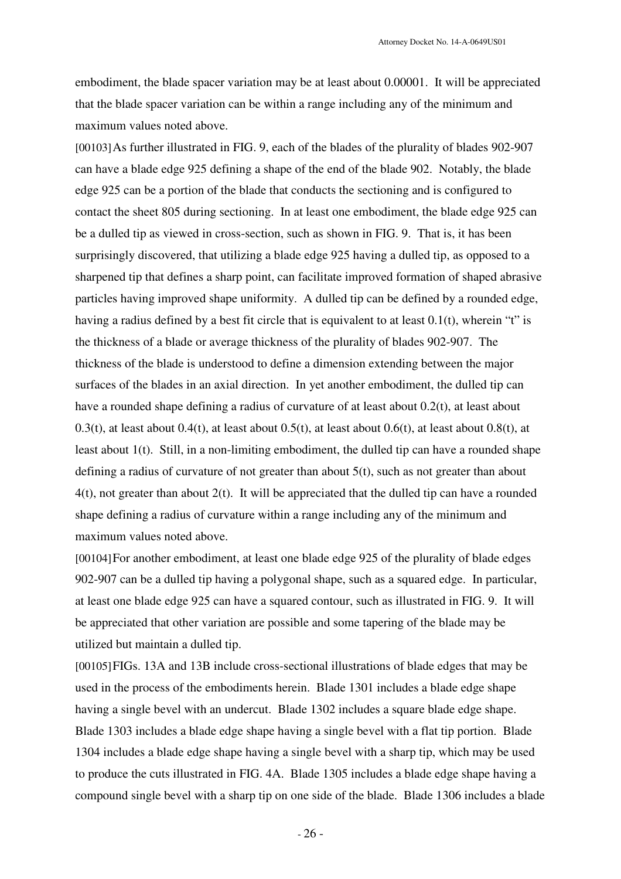embodiment, the blade spacer variation may be at least about 0.00001. It will be appreciated that the blade spacer variation can be within a range including any of the minimum and maximum values noted above.

[00103]As further illustrated in FIG. 9, each of the blades of the plurality of blades 902-907 can have a blade edge 925 defining a shape of the end of the blade 902. Notably, the blade edge 925 can be a portion of the blade that conducts the sectioning and is configured to contact the sheet 805 during sectioning. In at least one embodiment, the blade edge 925 can be a dulled tip as viewed in cross-section, such as shown in FIG. 9. That is, it has been surprisingly discovered, that utilizing a blade edge 925 having a dulled tip, as opposed to a sharpened tip that defines a sharp point, can facilitate improved formation of shaped abrasive particles having improved shape uniformity. A dulled tip can be defined by a rounded edge, having a radius defined by a best fit circle that is equivalent to at least 0.1(t), wherein "t" is the thickness of a blade or average thickness of the plurality of blades 902-907. The thickness of the blade is understood to define a dimension extending between the major surfaces of the blades in an axial direction. In yet another embodiment, the dulled tip can have a rounded shape defining a radius of curvature of at least about 0.2(t), at least about 0.3(t), at least about 0.4(t), at least about 0.5(t), at least about 0.6(t), at least about 0.8(t), at least about 1(t). Still, in a non-limiting embodiment, the dulled tip can have a rounded shape defining a radius of curvature of not greater than about  $5(t)$ , such as not greater than about 4(t), not greater than about 2(t). It will be appreciated that the dulled tip can have a rounded shape defining a radius of curvature within a range including any of the minimum and maximum values noted above.

[00104]For another embodiment, at least one blade edge 925 of the plurality of blade edges 902-907 can be a dulled tip having a polygonal shape, such as a squared edge. In particular, at least one blade edge 925 can have a squared contour, such as illustrated in FIG. 9. It will be appreciated that other variation are possible and some tapering of the blade may be utilized but maintain a dulled tip.

[00105]FIGs. 13A and 13B include cross-sectional illustrations of blade edges that may be used in the process of the embodiments herein. Blade 1301 includes a blade edge shape having a single bevel with an undercut. Blade 1302 includes a square blade edge shape. Blade 1303 includes a blade edge shape having a single bevel with a flat tip portion. Blade 1304 includes a blade edge shape having a single bevel with a sharp tip, which may be used to produce the cuts illustrated in FIG. 4A. Blade 1305 includes a blade edge shape having a compound single bevel with a sharp tip on one side of the blade. Blade 1306 includes a blade

- 26 -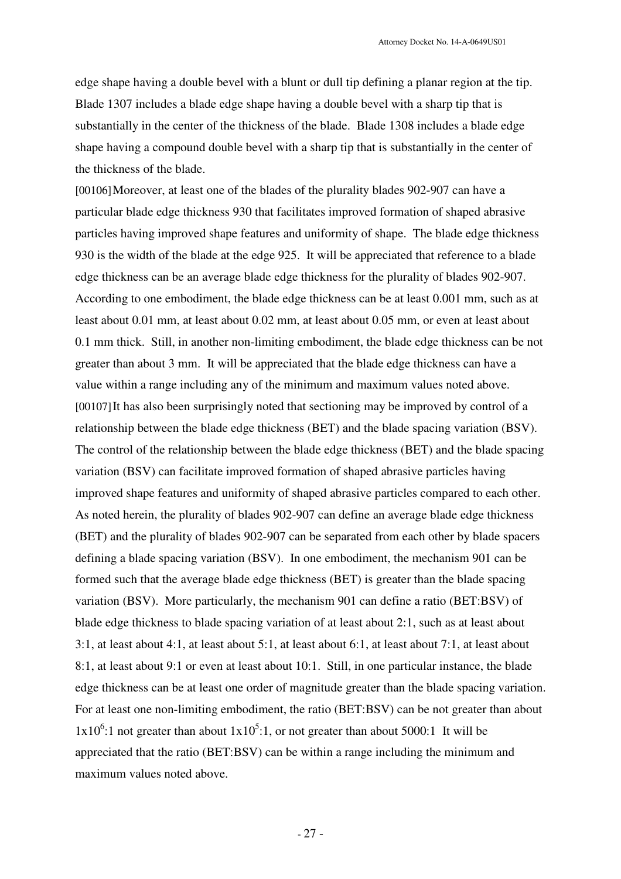edge shape having a double bevel with a blunt or dull tip defining a planar region at the tip. Blade 1307 includes a blade edge shape having a double bevel with a sharp tip that is substantially in the center of the thickness of the blade. Blade 1308 includes a blade edge shape having a compound double bevel with a sharp tip that is substantially in the center of the thickness of the blade.

[00106]Moreover, at least one of the blades of the plurality blades 902-907 can have a particular blade edge thickness 930 that facilitates improved formation of shaped abrasive particles having improved shape features and uniformity of shape. The blade edge thickness 930 is the width of the blade at the edge 925. It will be appreciated that reference to a blade edge thickness can be an average blade edge thickness for the plurality of blades 902-907. According to one embodiment, the blade edge thickness can be at least 0.001 mm, such as at least about 0.01 mm, at least about 0.02 mm, at least about 0.05 mm, or even at least about 0.1 mm thick. Still, in another non-limiting embodiment, the blade edge thickness can be not greater than about 3 mm. It will be appreciated that the blade edge thickness can have a value within a range including any of the minimum and maximum values noted above. [00107]It has also been surprisingly noted that sectioning may be improved by control of a relationship between the blade edge thickness (BET) and the blade spacing variation (BSV). The control of the relationship between the blade edge thickness (BET) and the blade spacing variation (BSV) can facilitate improved formation of shaped abrasive particles having improved shape features and uniformity of shaped abrasive particles compared to each other. As noted herein, the plurality of blades 902-907 can define an average blade edge thickness (BET) and the plurality of blades 902-907 can be separated from each other by blade spacers defining a blade spacing variation (BSV). In one embodiment, the mechanism 901 can be formed such that the average blade edge thickness (BET) is greater than the blade spacing variation (BSV). More particularly, the mechanism 901 can define a ratio (BET:BSV) of blade edge thickness to blade spacing variation of at least about 2:1, such as at least about 3:1, at least about 4:1, at least about 5:1, at least about 6:1, at least about 7:1, at least about 8:1, at least about 9:1 or even at least about 10:1. Still, in one particular instance, the blade edge thickness can be at least one order of magnitude greater than the blade spacing variation. For at least one non-limiting embodiment, the ratio (BET:BSV) can be not greater than about  $1x10<sup>6</sup>$ :1 not greater than about  $1x10<sup>5</sup>$ :1, or not greater than about 5000:1 It will be appreciated that the ratio (BET:BSV) can be within a range including the minimum and maximum values noted above.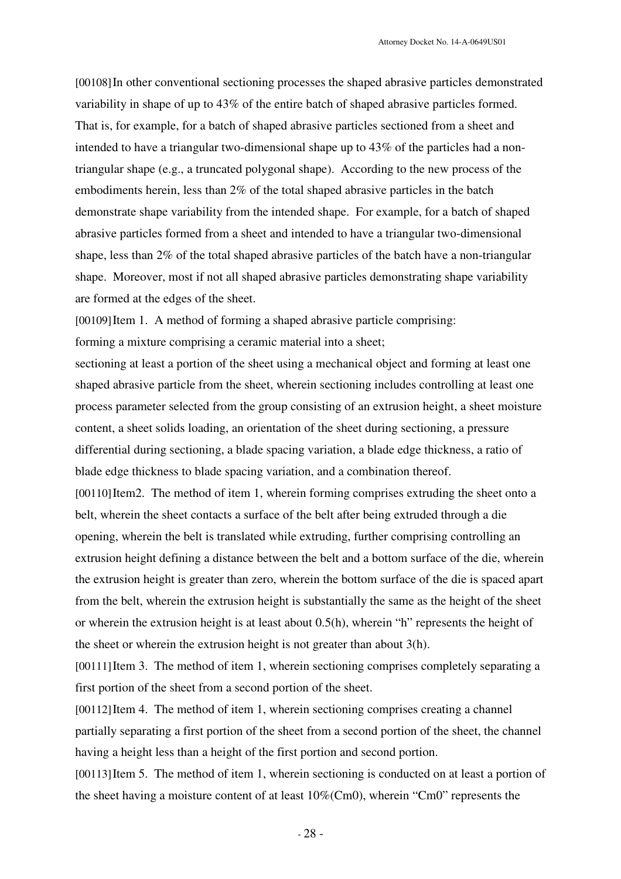[00108]In other conventional sectioning processes the shaped abrasive particles demonstrated variability in shape of up to 43% of the entire batch of shaped abrasive particles formed. That is, for example, for a batch of shaped abrasive particles sectioned from a sheet and intended to have a triangular two-dimensional shape up to 43% of the particles had a nontriangular shape (e.g., a truncated polygonal shape). According to the new process of the embodiments herein, less than 2% of the total shaped abrasive particles in the batch demonstrate shape variability from the intended shape. For example, for a batch of shaped abrasive particles formed from a sheet and intended to have a triangular two-dimensional shape, less than 2% of the total shaped abrasive particles of the batch have a non-triangular shape. Moreover, most if not all shaped abrasive particles demonstrating shape variability are formed at the edges of the sheet.

[00109]Item 1. A method of forming a shaped abrasive particle comprising:

forming a mixture comprising a ceramic material into a sheet;

sectioning at least a portion of the sheet using a mechanical object and forming at least one shaped abrasive particle from the sheet, wherein sectioning includes controlling at least one process parameter selected from the group consisting of an extrusion height, a sheet moisture content, a sheet solids loading, an orientation of the sheet during sectioning, a pressure differential during sectioning, a blade spacing variation, a blade edge thickness, a ratio of blade edge thickness to blade spacing variation, and a combination thereof.

[00110] Item2. The method of item 1, wherein forming comprises extruding the sheet onto a belt, wherein the sheet contacts a surface of the belt after being extruded through a die opening, wherein the belt is translated while extruding, further comprising controlling an extrusion height defining a distance between the belt and a bottom surface of the die, wherein the extrusion height is greater than zero, wherein the bottom surface of the die is spaced apart from the belt, wherein the extrusion height is substantially the same as the height of the sheet or wherein the extrusion height is at least about 0.5(h), wherein "h" represents the height of the sheet or wherein the extrusion height is not greater than about 3(h).

[00111]Item 3. The method of item 1, wherein sectioning comprises completely separating a first portion of the sheet from a second portion of the sheet.

[00112]Item 4. The method of item 1, wherein sectioning comprises creating a channel partially separating a first portion of the sheet from a second portion of the sheet, the channel having a height less than a height of the first portion and second portion.

[00113] Item 5. The method of item 1, wherein sectioning is conducted on at least a portion of the sheet having a moisture content of at least 10%(Cm0), wherein "Cm0" represents the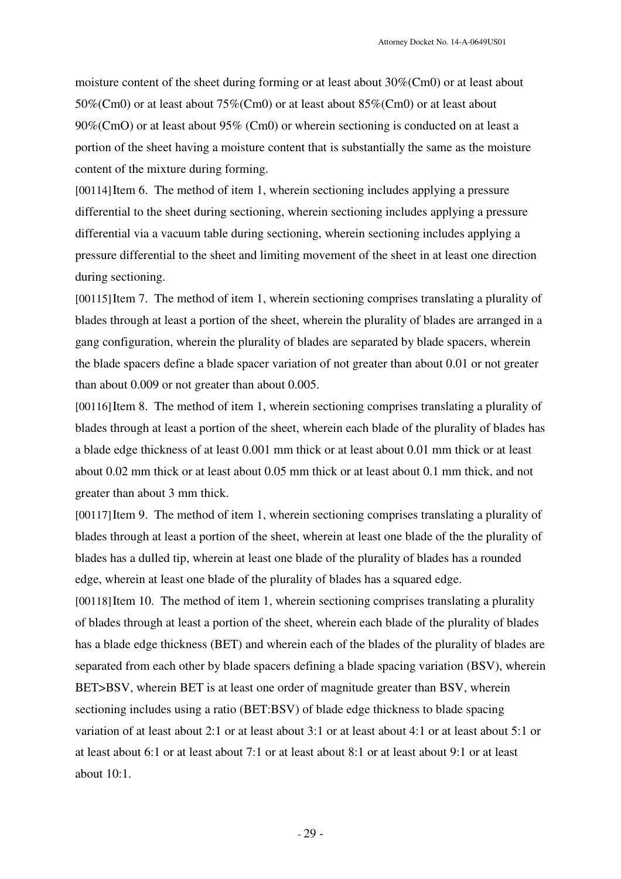moisture content of the sheet during forming or at least about 30%(Cm0) or at least about 50%(Cm0) or at least about 75%(Cm0) or at least about 85%(Cm0) or at least about 90%(CmO) or at least about 95% (Cm0) or wherein sectioning is conducted on at least a portion of the sheet having a moisture content that is substantially the same as the moisture content of the mixture during forming.

[00114]Item 6. The method of item 1, wherein sectioning includes applying a pressure differential to the sheet during sectioning, wherein sectioning includes applying a pressure differential via a vacuum table during sectioning, wherein sectioning includes applying a pressure differential to the sheet and limiting movement of the sheet in at least one direction during sectioning.

[00115]Item 7. The method of item 1, wherein sectioning comprises translating a plurality of blades through at least a portion of the sheet, wherein the plurality of blades are arranged in a gang configuration, wherein the plurality of blades are separated by blade spacers, wherein the blade spacers define a blade spacer variation of not greater than about 0.01 or not greater than about 0.009 or not greater than about 0.005.

[00116]Item 8. The method of item 1, wherein sectioning comprises translating a plurality of blades through at least a portion of the sheet, wherein each blade of the plurality of blades has a blade edge thickness of at least 0.001 mm thick or at least about 0.01 mm thick or at least about 0.02 mm thick or at least about 0.05 mm thick or at least about 0.1 mm thick, and not greater than about 3 mm thick.

[00117]Item 9. The method of item 1, wherein sectioning comprises translating a plurality of blades through at least a portion of the sheet, wherein at least one blade of the the plurality of blades has a dulled tip, wherein at least one blade of the plurality of blades has a rounded edge, wherein at least one blade of the plurality of blades has a squared edge.

[00118]Item 10. The method of item 1, wherein sectioning comprises translating a plurality of blades through at least a portion of the sheet, wherein each blade of the plurality of blades has a blade edge thickness (BET) and wherein each of the blades of the plurality of blades are separated from each other by blade spacers defining a blade spacing variation (BSV), wherein BET>BSV, wherein BET is at least one order of magnitude greater than BSV, wherein sectioning includes using a ratio (BET:BSV) of blade edge thickness to blade spacing variation of at least about 2:1 or at least about 3:1 or at least about 4:1 or at least about 5:1 or at least about 6:1 or at least about 7:1 or at least about 8:1 or at least about 9:1 or at least about  $10:1$ .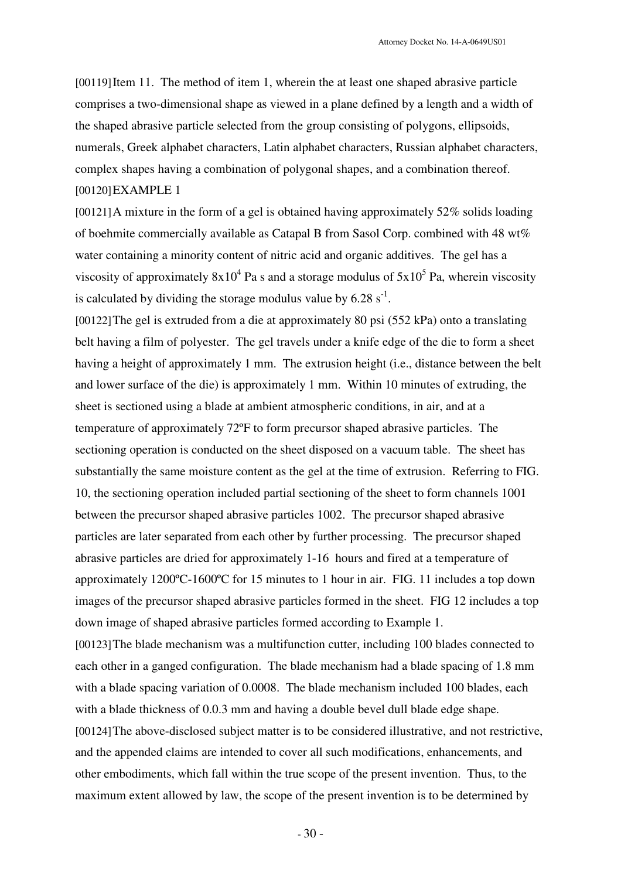[00119]Item 11. The method of item 1, wherein the at least one shaped abrasive particle comprises a two-dimensional shape as viewed in a plane defined by a length and a width of the shaped abrasive particle selected from the group consisting of polygons, ellipsoids, numerals, Greek alphabet characters, Latin alphabet characters, Russian alphabet characters, complex shapes having a combination of polygonal shapes, and a combination thereof. [00120]EXAMPLE 1

[00121]A mixture in the form of a gel is obtained having approximately 52% solids loading of boehmite commercially available as Catapal B from Sasol Corp. combined with 48 wt% water containing a minority content of nitric acid and organic additives. The gel has a viscosity of approximately  $8x10^4$  Pa s and a storage modulus of  $5x10^5$  Pa, wherein viscosity is calculated by dividing the storage modulus value by  $6.28 \text{ s}^{-1}$ .

[00122]The gel is extruded from a die at approximately 80 psi (552 kPa) onto a translating belt having a film of polyester. The gel travels under a knife edge of the die to form a sheet having a height of approximately 1 mm. The extrusion height (i.e., distance between the belt and lower surface of the die) is approximately 1 mm. Within 10 minutes of extruding, the sheet is sectioned using a blade at ambient atmospheric conditions, in air, and at a temperature of approximately 72ºF to form precursor shaped abrasive particles. The sectioning operation is conducted on the sheet disposed on a vacuum table. The sheet has substantially the same moisture content as the gel at the time of extrusion. Referring to FIG. 10, the sectioning operation included partial sectioning of the sheet to form channels 1001 between the precursor shaped abrasive particles 1002. The precursor shaped abrasive particles are later separated from each other by further processing. The precursor shaped abrasive particles are dried for approximately 1-16 hours and fired at a temperature of approximately 1200ºC-1600ºC for 15 minutes to 1 hour in air. FIG. 11 includes a top down images of the precursor shaped abrasive particles formed in the sheet. FIG 12 includes a top down image of shaped abrasive particles formed according to Example 1.

[00123]The blade mechanism was a multifunction cutter, including 100 blades connected to each other in a ganged configuration. The blade mechanism had a blade spacing of 1.8 mm with a blade spacing variation of 0.0008. The blade mechanism included 100 blades, each with a blade thickness of 0.0.3 mm and having a double bevel dull blade edge shape. [00124]The above-disclosed subject matter is to be considered illustrative, and not restrictive, and the appended claims are intended to cover all such modifications, enhancements, and other embodiments, which fall within the true scope of the present invention. Thus, to the maximum extent allowed by law, the scope of the present invention is to be determined by

- 30 -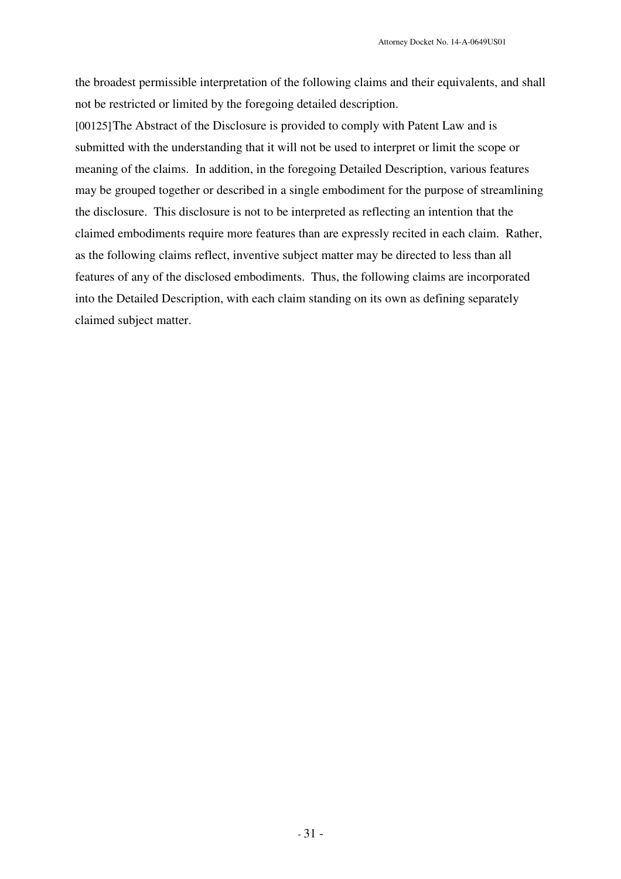the broadest permissible interpretation of the following claims and their equivalents, and shall not be restricted or limited by the foregoing detailed description.

[00125]The Abstract of the Disclosure is provided to comply with Patent Law and is submitted with the understanding that it will not be used to interpret or limit the scope or meaning of the claims. In addition, in the foregoing Detailed Description, various features may be grouped together or described in a single embodiment for the purpose of streamlining the disclosure. This disclosure is not to be interpreted as reflecting an intention that the claimed embodiments require more features than are expressly recited in each claim. Rather, as the following claims reflect, inventive subject matter may be directed to less than all features of any of the disclosed embodiments. Thus, the following claims are incorporated into the Detailed Description, with each claim standing on its own as defining separately claimed subject matter.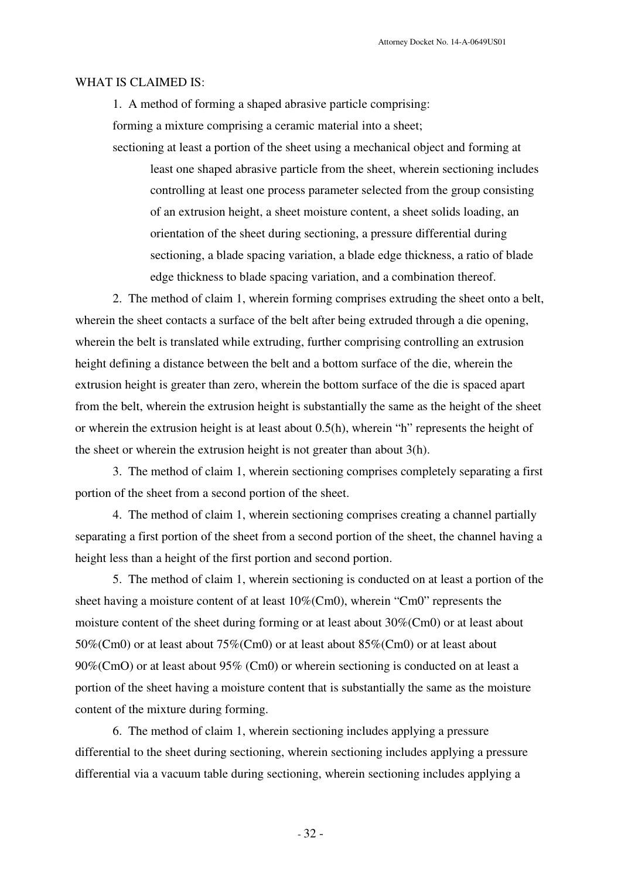### WHAT IS CLAIMED IS:

1. A method of forming a shaped abrasive particle comprising:

forming a mixture comprising a ceramic material into a sheet;

sectioning at least a portion of the sheet using a mechanical object and forming at least one shaped abrasive particle from the sheet, wherein sectioning includes controlling at least one process parameter selected from the group consisting of an extrusion height, a sheet moisture content, a sheet solids loading, an orientation of the sheet during sectioning, a pressure differential during sectioning, a blade spacing variation, a blade edge thickness, a ratio of blade edge thickness to blade spacing variation, and a combination thereof.

2. The method of claim 1, wherein forming comprises extruding the sheet onto a belt, wherein the sheet contacts a surface of the belt after being extruded through a die opening, wherein the belt is translated while extruding, further comprising controlling an extrusion height defining a distance between the belt and a bottom surface of the die, wherein the extrusion height is greater than zero, wherein the bottom surface of the die is spaced apart from the belt, wherein the extrusion height is substantially the same as the height of the sheet or wherein the extrusion height is at least about 0.5(h), wherein "h" represents the height of the sheet or wherein the extrusion height is not greater than about 3(h).

3. The method of claim 1, wherein sectioning comprises completely separating a first portion of the sheet from a second portion of the sheet.

4. The method of claim 1, wherein sectioning comprises creating a channel partially separating a first portion of the sheet from a second portion of the sheet, the channel having a height less than a height of the first portion and second portion.

5. The method of claim 1, wherein sectioning is conducted on at least a portion of the sheet having a moisture content of at least 10%(Cm0), wherein "Cm0" represents the moisture content of the sheet during forming or at least about 30%(Cm0) or at least about 50%(Cm0) or at least about 75%(Cm0) or at least about 85%(Cm0) or at least about 90%(CmO) or at least about 95% (Cm0) or wherein sectioning is conducted on at least a portion of the sheet having a moisture content that is substantially the same as the moisture content of the mixture during forming.

6. The method of claim 1, wherein sectioning includes applying a pressure differential to the sheet during sectioning, wherein sectioning includes applying a pressure differential via a vacuum table during sectioning, wherein sectioning includes applying a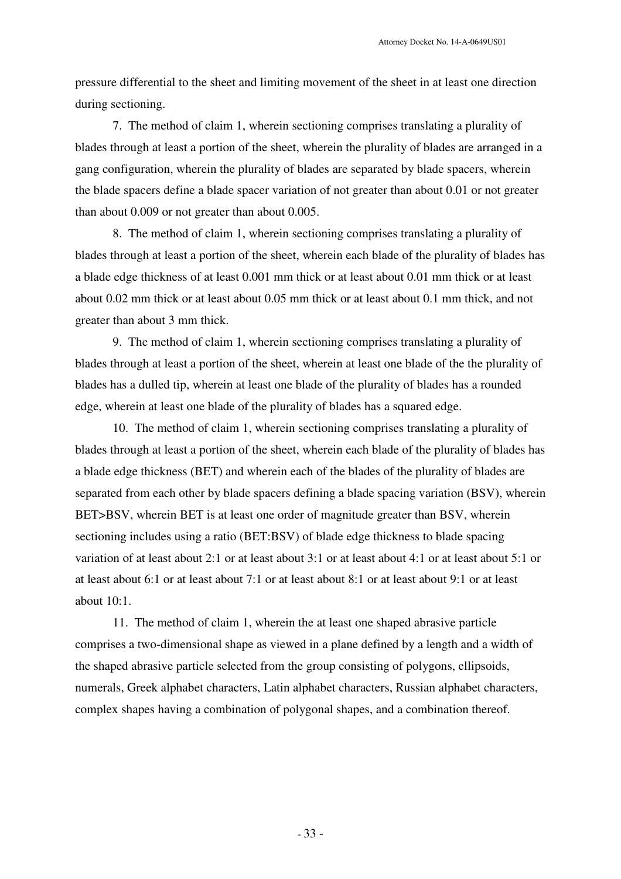pressure differential to the sheet and limiting movement of the sheet in at least one direction during sectioning.

7. The method of claim 1, wherein sectioning comprises translating a plurality of blades through at least a portion of the sheet, wherein the plurality of blades are arranged in a gang configuration, wherein the plurality of blades are separated by blade spacers, wherein the blade spacers define a blade spacer variation of not greater than about 0.01 or not greater than about 0.009 or not greater than about 0.005.

8. The method of claim 1, wherein sectioning comprises translating a plurality of blades through at least a portion of the sheet, wherein each blade of the plurality of blades has a blade edge thickness of at least 0.001 mm thick or at least about 0.01 mm thick or at least about 0.02 mm thick or at least about 0.05 mm thick or at least about 0.1 mm thick, and not greater than about 3 mm thick.

9. The method of claim 1, wherein sectioning comprises translating a plurality of blades through at least a portion of the sheet, wherein at least one blade of the the plurality of blades has a dulled tip, wherein at least one blade of the plurality of blades has a rounded edge, wherein at least one blade of the plurality of blades has a squared edge.

10. The method of claim 1, wherein sectioning comprises translating a plurality of blades through at least a portion of the sheet, wherein each blade of the plurality of blades has a blade edge thickness (BET) and wherein each of the blades of the plurality of blades are separated from each other by blade spacers defining a blade spacing variation (BSV), wherein BET>BSV, wherein BET is at least one order of magnitude greater than BSV, wherein sectioning includes using a ratio (BET:BSV) of blade edge thickness to blade spacing variation of at least about 2:1 or at least about 3:1 or at least about 4:1 or at least about 5:1 or at least about 6:1 or at least about 7:1 or at least about 8:1 or at least about 9:1 or at least about 10:1.

11. The method of claim 1, wherein the at least one shaped abrasive particle comprises a two-dimensional shape as viewed in a plane defined by a length and a width of the shaped abrasive particle selected from the group consisting of polygons, ellipsoids, numerals, Greek alphabet characters, Latin alphabet characters, Russian alphabet characters, complex shapes having a combination of polygonal shapes, and a combination thereof.

- 33 -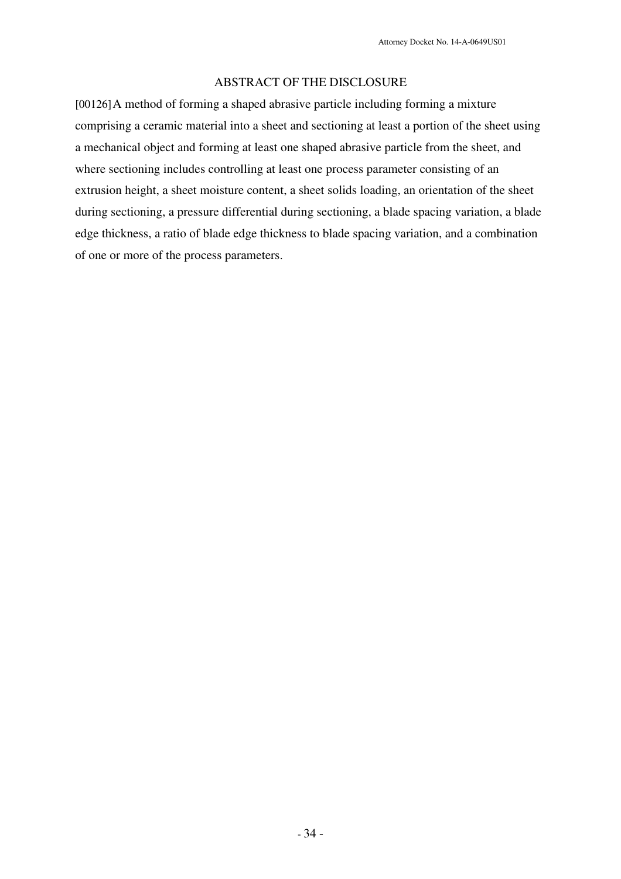# ABSTRACT OF THE DISCLOSURE

[00126]A method of forming a shaped abrasive particle including forming a mixture comprising a ceramic material into a sheet and sectioning at least a portion of the sheet using a mechanical object and forming at least one shaped abrasive particle from the sheet, and where sectioning includes controlling at least one process parameter consisting of an extrusion height, a sheet moisture content, a sheet solids loading, an orientation of the sheet during sectioning, a pressure differential during sectioning, a blade spacing variation, a blade edge thickness, a ratio of blade edge thickness to blade spacing variation, and a combination of one or more of the process parameters.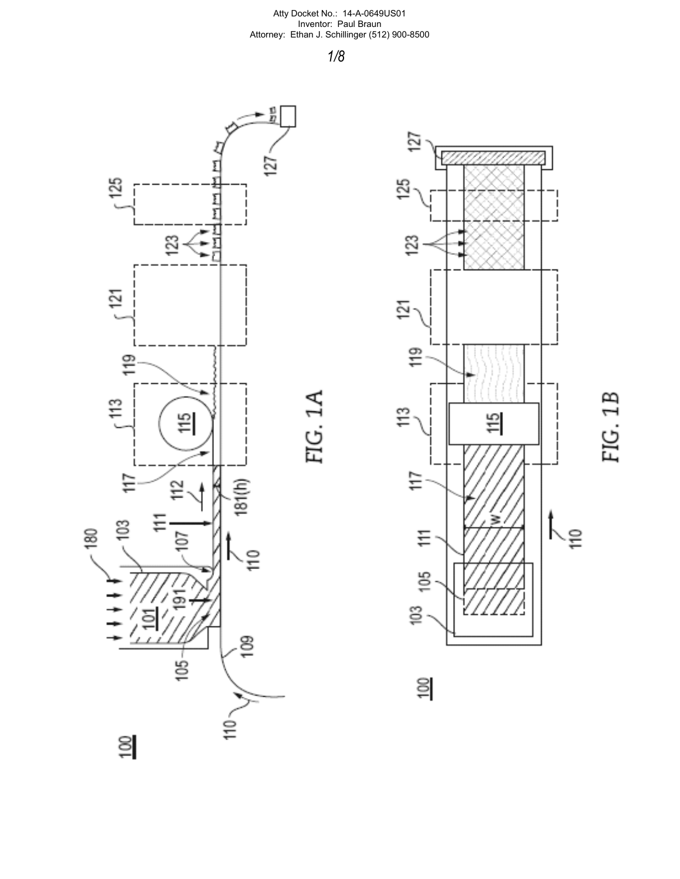1/8





 $\geq$ 

FIG. 1B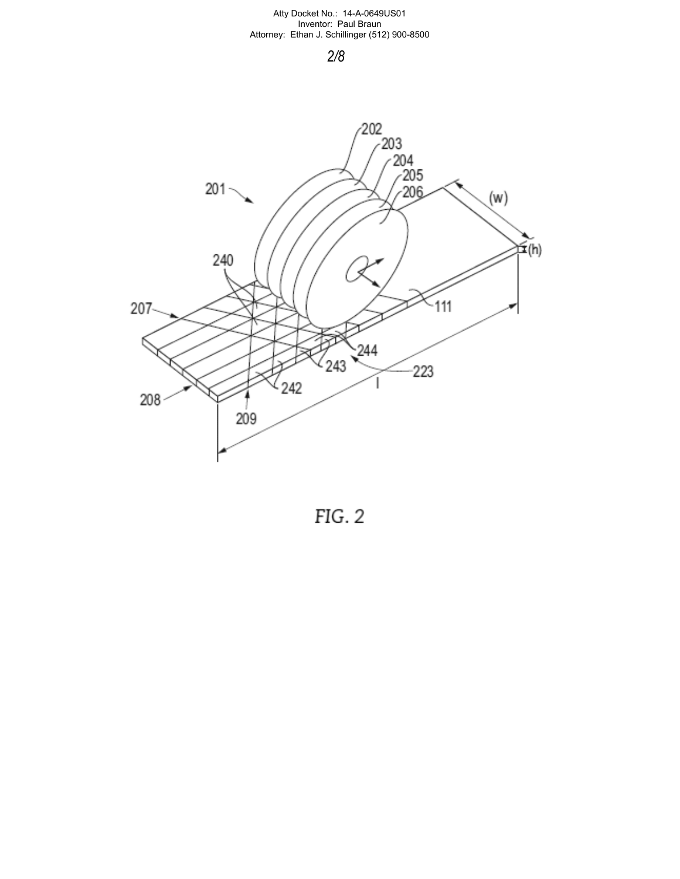# 2/8



FIG. 2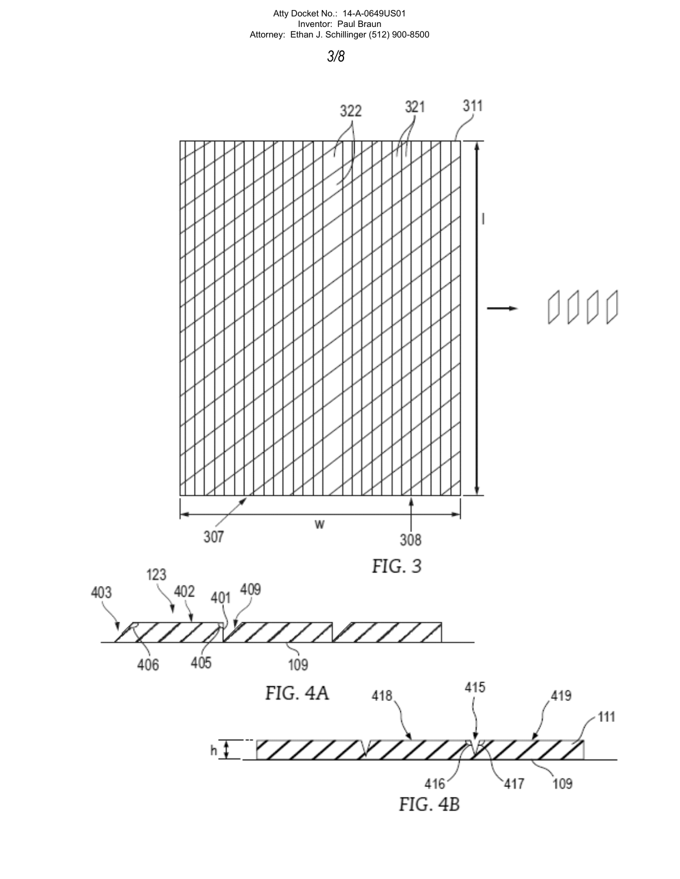3/8



403

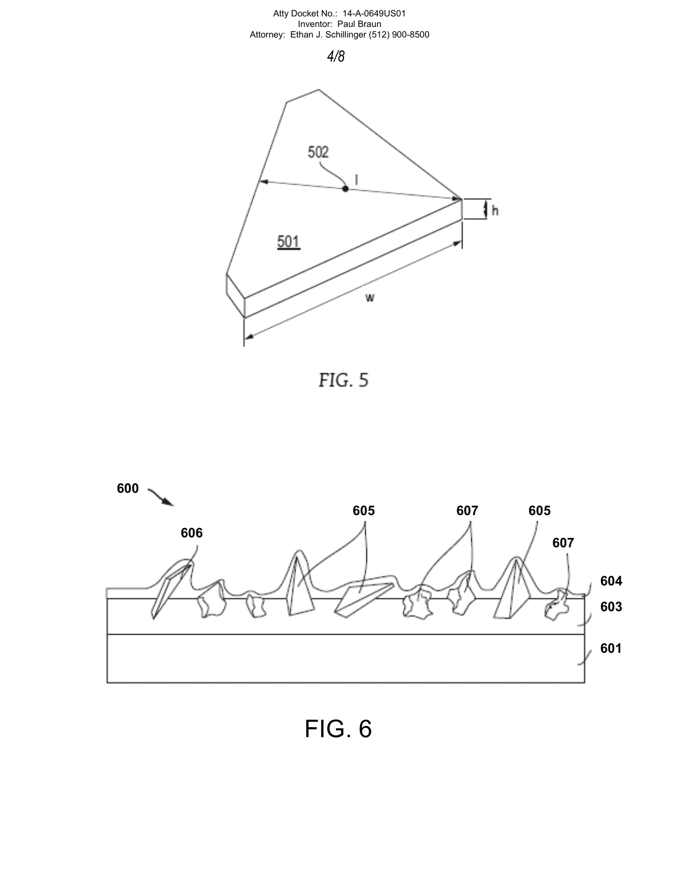





FIG. 6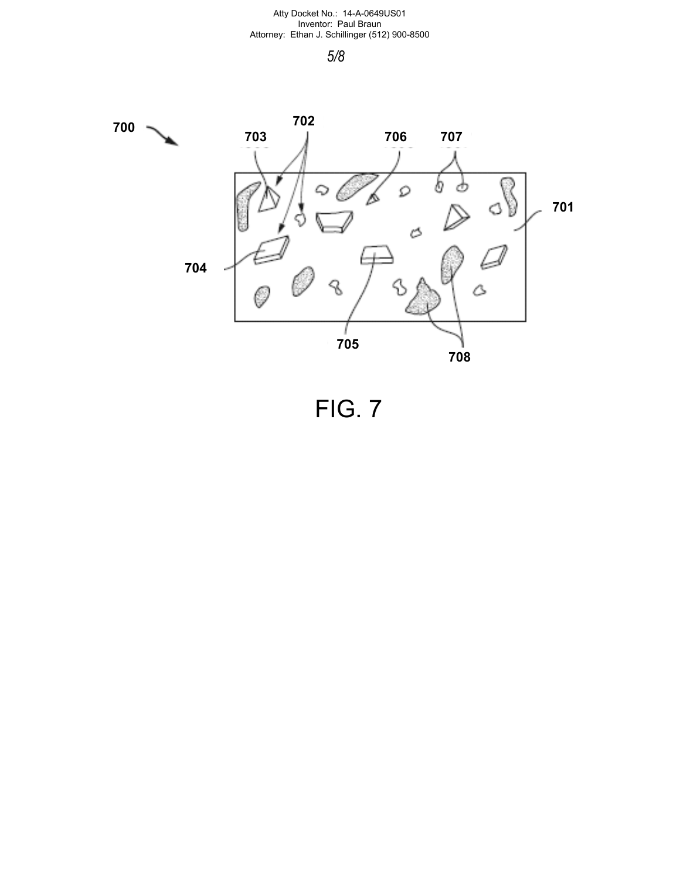# 5/8



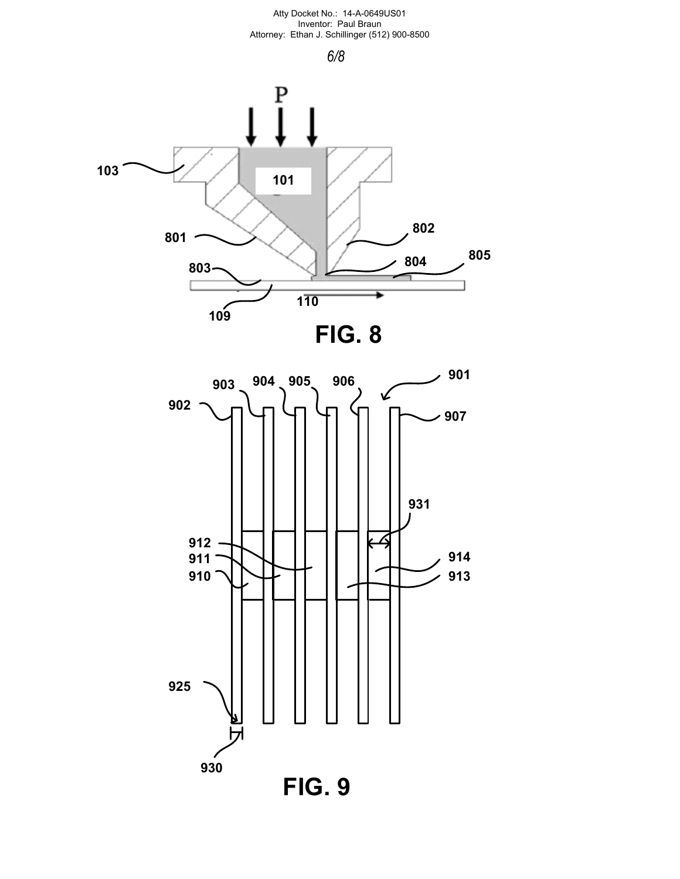

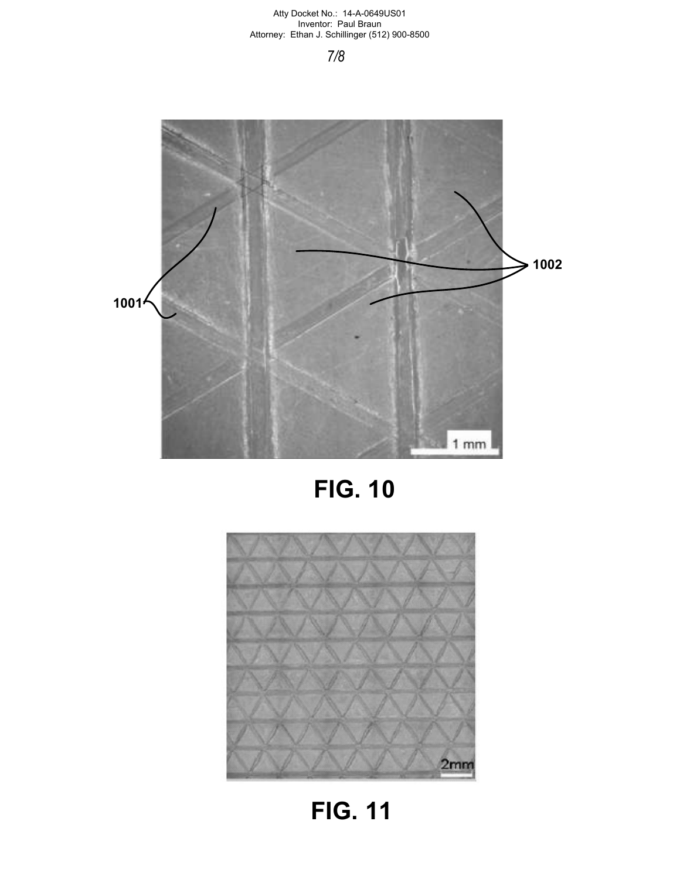# 7/8







FIG. 11